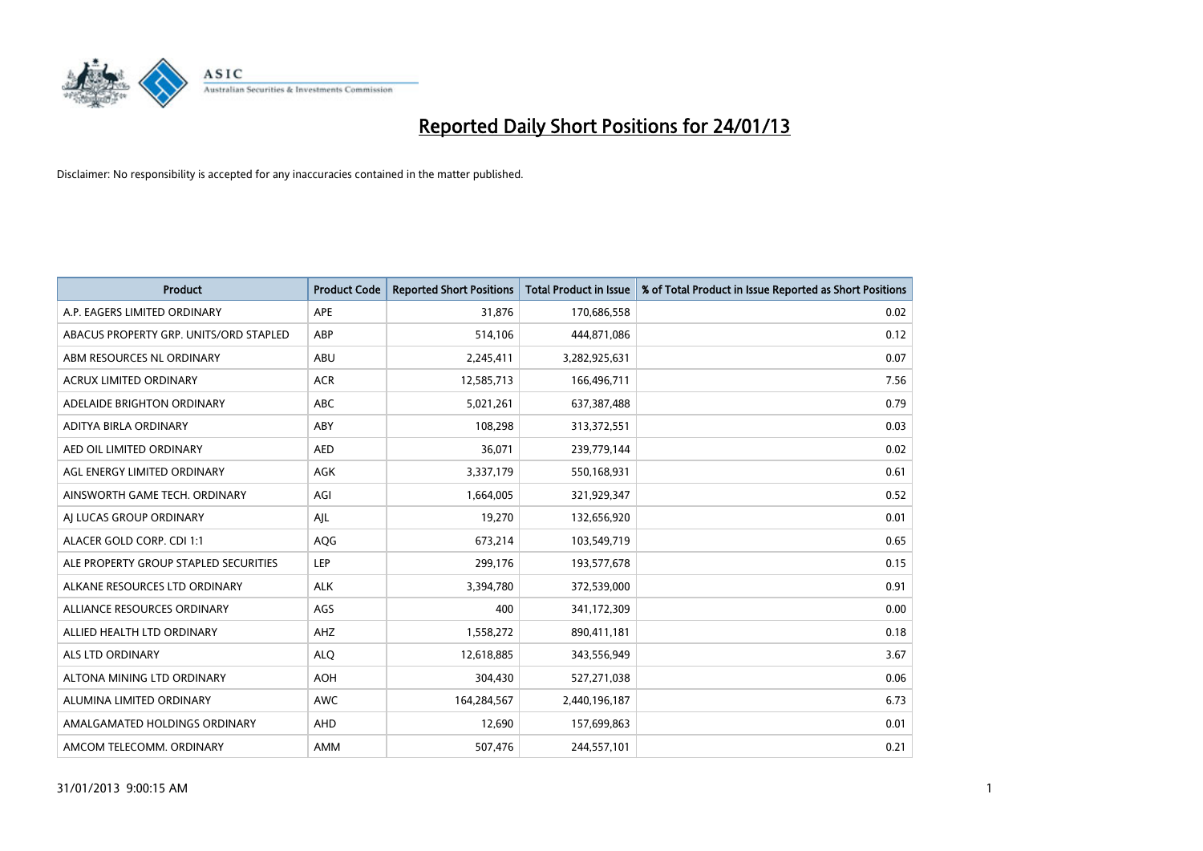

| <b>Product</b>                         | <b>Product Code</b> | <b>Reported Short Positions</b> | <b>Total Product in Issue</b> | % of Total Product in Issue Reported as Short Positions |
|----------------------------------------|---------------------|---------------------------------|-------------------------------|---------------------------------------------------------|
| A.P. EAGERS LIMITED ORDINARY           | APE                 | 31.876                          | 170,686,558                   | 0.02                                                    |
| ABACUS PROPERTY GRP. UNITS/ORD STAPLED | ABP                 | 514,106                         | 444,871,086                   | 0.12                                                    |
| ABM RESOURCES NL ORDINARY              | <b>ABU</b>          | 2,245,411                       | 3,282,925,631                 | 0.07                                                    |
| ACRUX LIMITED ORDINARY                 | <b>ACR</b>          | 12,585,713                      | 166,496,711                   | 7.56                                                    |
| ADELAIDE BRIGHTON ORDINARY             | <b>ABC</b>          | 5,021,261                       | 637,387,488                   | 0.79                                                    |
| ADITYA BIRLA ORDINARY                  | ABY                 | 108,298                         | 313,372,551                   | 0.03                                                    |
| AED OIL LIMITED ORDINARY               | <b>AED</b>          | 36,071                          | 239,779,144                   | 0.02                                                    |
| AGL ENERGY LIMITED ORDINARY            | AGK                 | 3,337,179                       | 550,168,931                   | 0.61                                                    |
| AINSWORTH GAME TECH. ORDINARY          | AGI                 | 1,664,005                       | 321,929,347                   | 0.52                                                    |
| AI LUCAS GROUP ORDINARY                | AJL                 | 19,270                          | 132,656,920                   | 0.01                                                    |
| ALACER GOLD CORP. CDI 1:1              | AQG                 | 673,214                         | 103,549,719                   | 0.65                                                    |
| ALE PROPERTY GROUP STAPLED SECURITIES  | LEP                 | 299,176                         | 193,577,678                   | 0.15                                                    |
| ALKANE RESOURCES LTD ORDINARY          | <b>ALK</b>          | 3,394,780                       | 372,539,000                   | 0.91                                                    |
| ALLIANCE RESOURCES ORDINARY            | AGS                 | 400                             | 341,172,309                   | 0.00                                                    |
| ALLIED HEALTH LTD ORDINARY             | AHZ                 | 1,558,272                       | 890,411,181                   | 0.18                                                    |
| <b>ALS LTD ORDINARY</b>                | <b>ALQ</b>          | 12,618,885                      | 343,556,949                   | 3.67                                                    |
| ALTONA MINING LTD ORDINARY             | <b>AOH</b>          | 304,430                         | 527,271,038                   | 0.06                                                    |
| ALUMINA LIMITED ORDINARY               | <b>AWC</b>          | 164,284,567                     | 2,440,196,187                 | 6.73                                                    |
| AMALGAMATED HOLDINGS ORDINARY          | AHD                 | 12,690                          | 157,699,863                   | 0.01                                                    |
| AMCOM TELECOMM. ORDINARY               | <b>AMM</b>          | 507,476                         | 244,557,101                   | 0.21                                                    |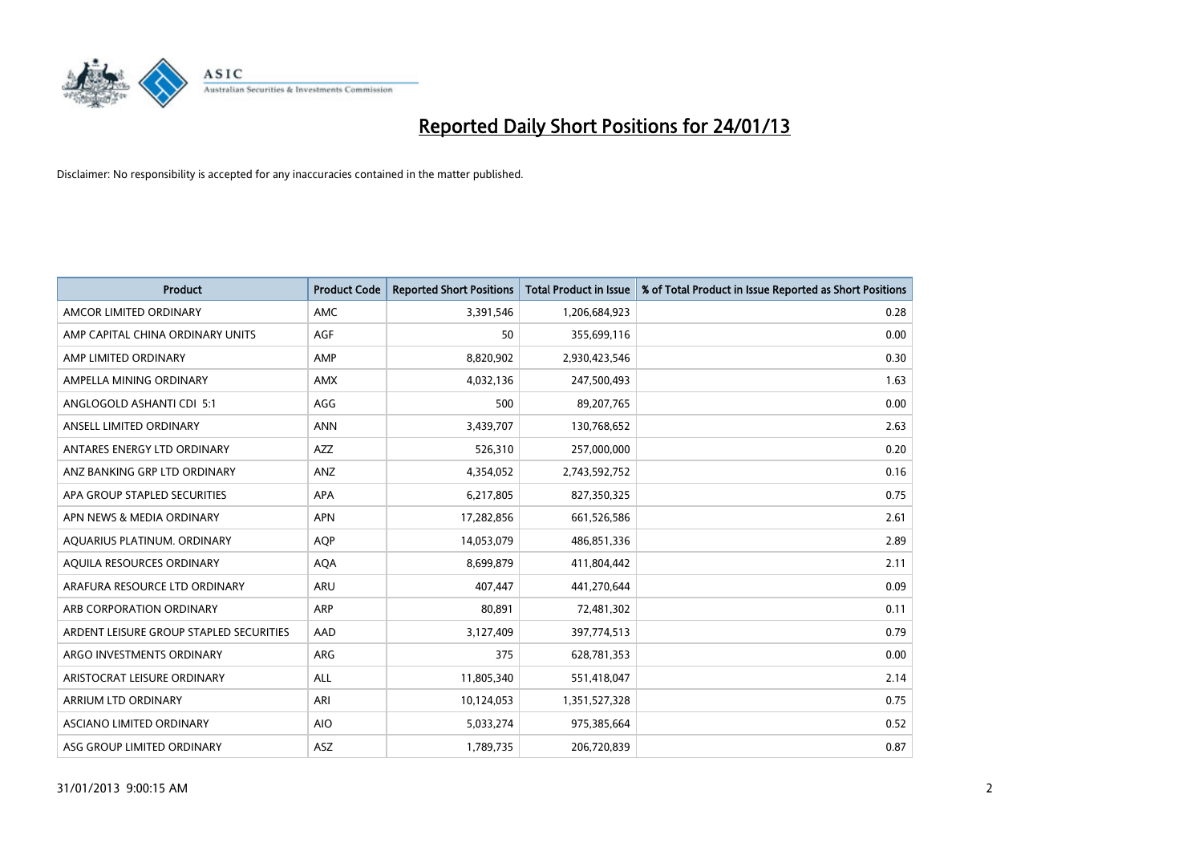

| <b>Product</b>                          | <b>Product Code</b> | <b>Reported Short Positions</b> | <b>Total Product in Issue</b> | % of Total Product in Issue Reported as Short Positions |
|-----------------------------------------|---------------------|---------------------------------|-------------------------------|---------------------------------------------------------|
| AMCOR LIMITED ORDINARY                  | <b>AMC</b>          | 3,391,546                       | 1,206,684,923                 | 0.28                                                    |
| AMP CAPITAL CHINA ORDINARY UNITS        | <b>AGF</b>          | 50                              | 355,699,116                   | 0.00                                                    |
| AMP LIMITED ORDINARY                    | AMP                 | 8,820,902                       | 2,930,423,546                 | 0.30                                                    |
| AMPELLA MINING ORDINARY                 | <b>AMX</b>          | 4,032,136                       | 247,500,493                   | 1.63                                                    |
| ANGLOGOLD ASHANTI CDI 5:1               | AGG                 | 500                             | 89,207,765                    | 0.00                                                    |
| ANSELL LIMITED ORDINARY                 | <b>ANN</b>          | 3,439,707                       | 130,768,652                   | 2.63                                                    |
| ANTARES ENERGY LTD ORDINARY             | <b>AZZ</b>          | 526,310                         | 257,000,000                   | 0.20                                                    |
| ANZ BANKING GRP LTD ORDINARY            | ANZ                 | 4,354,052                       | 2,743,592,752                 | 0.16                                                    |
| APA GROUP STAPLED SECURITIES            | <b>APA</b>          | 6,217,805                       | 827,350,325                   | 0.75                                                    |
| APN NEWS & MEDIA ORDINARY               | <b>APN</b>          | 17,282,856                      | 661,526,586                   | 2.61                                                    |
| AQUARIUS PLATINUM. ORDINARY             | <b>AOP</b>          | 14,053,079                      | 486,851,336                   | 2.89                                                    |
| AQUILA RESOURCES ORDINARY               | <b>AQA</b>          | 8,699,879                       | 411,804,442                   | 2.11                                                    |
| ARAFURA RESOURCE LTD ORDINARY           | <b>ARU</b>          | 407,447                         | 441,270,644                   | 0.09                                                    |
| ARB CORPORATION ORDINARY                | <b>ARP</b>          | 80,891                          | 72,481,302                    | 0.11                                                    |
| ARDENT LEISURE GROUP STAPLED SECURITIES | AAD                 | 3,127,409                       | 397,774,513                   | 0.79                                                    |
| ARGO INVESTMENTS ORDINARY               | <b>ARG</b>          | 375                             | 628,781,353                   | 0.00                                                    |
| ARISTOCRAT LEISURE ORDINARY             | ALL                 | 11,805,340                      | 551,418,047                   | 2.14                                                    |
| ARRIUM LTD ORDINARY                     | ARI                 | 10,124,053                      | 1,351,527,328                 | 0.75                                                    |
| ASCIANO LIMITED ORDINARY                | <b>AIO</b>          | 5,033,274                       | 975,385,664                   | 0.52                                                    |
| ASG GROUP LIMITED ORDINARY              | ASZ                 | 1,789,735                       | 206,720,839                   | 0.87                                                    |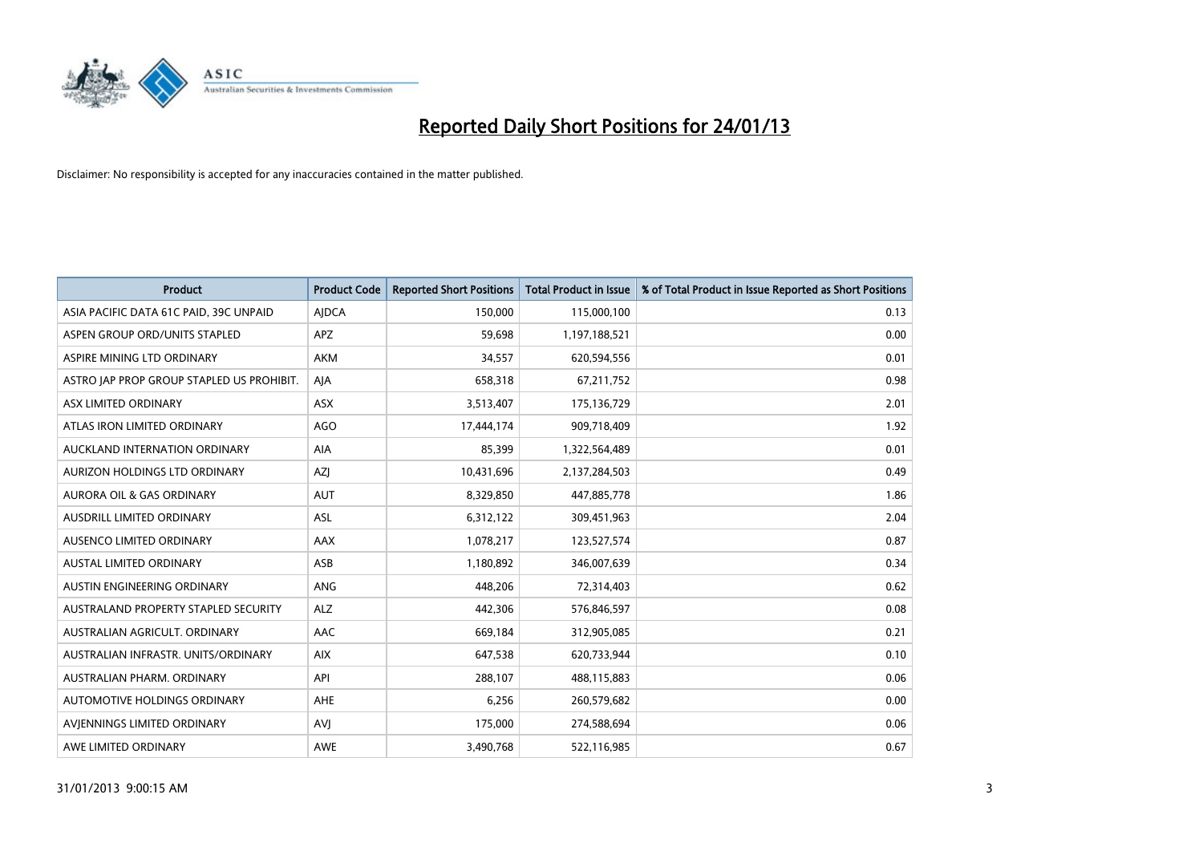

| <b>Product</b>                            | <b>Product Code</b> | <b>Reported Short Positions</b> | <b>Total Product in Issue</b> | % of Total Product in Issue Reported as Short Positions |
|-------------------------------------------|---------------------|---------------------------------|-------------------------------|---------------------------------------------------------|
| ASIA PACIFIC DATA 61C PAID, 39C UNPAID    | AIDCA               | 150,000                         | 115,000,100                   | 0.13                                                    |
| ASPEN GROUP ORD/UNITS STAPLED             | <b>APZ</b>          | 59,698                          | 1,197,188,521                 | 0.00                                                    |
| ASPIRE MINING LTD ORDINARY                | <b>AKM</b>          | 34,557                          | 620,594,556                   | 0.01                                                    |
| ASTRO JAP PROP GROUP STAPLED US PROHIBIT. | AJA                 | 658,318                         | 67,211,752                    | 0.98                                                    |
| ASX LIMITED ORDINARY                      | <b>ASX</b>          | 3,513,407                       | 175,136,729                   | 2.01                                                    |
| ATLAS IRON LIMITED ORDINARY               | <b>AGO</b>          | 17,444,174                      | 909,718,409                   | 1.92                                                    |
| AUCKLAND INTERNATION ORDINARY             | <b>AIA</b>          | 85.399                          | 1,322,564,489                 | 0.01                                                    |
| AURIZON HOLDINGS LTD ORDINARY             | AZJ                 | 10,431,696                      | 2,137,284,503                 | 0.49                                                    |
| AURORA OIL & GAS ORDINARY                 | <b>AUT</b>          | 8,329,850                       | 447,885,778                   | 1.86                                                    |
| AUSDRILL LIMITED ORDINARY                 | <b>ASL</b>          | 6,312,122                       | 309,451,963                   | 2.04                                                    |
| AUSENCO LIMITED ORDINARY                  | AAX                 | 1,078,217                       | 123,527,574                   | 0.87                                                    |
| <b>AUSTAL LIMITED ORDINARY</b>            | ASB                 | 1,180,892                       | 346,007,639                   | 0.34                                                    |
| <b>AUSTIN ENGINEERING ORDINARY</b>        | <b>ANG</b>          | 448,206                         | 72,314,403                    | 0.62                                                    |
| AUSTRALAND PROPERTY STAPLED SECURITY      | <b>ALZ</b>          | 442,306                         | 576,846,597                   | 0.08                                                    |
| AUSTRALIAN AGRICULT, ORDINARY             | <b>AAC</b>          | 669,184                         | 312,905,085                   | 0.21                                                    |
| AUSTRALIAN INFRASTR. UNITS/ORDINARY       | <b>AIX</b>          | 647,538                         | 620,733,944                   | 0.10                                                    |
| AUSTRALIAN PHARM, ORDINARY                | API                 | 288,107                         | 488,115,883                   | 0.06                                                    |
| AUTOMOTIVE HOLDINGS ORDINARY              | <b>AHE</b>          | 6,256                           | 260,579,682                   | 0.00                                                    |
| AVIENNINGS LIMITED ORDINARY               | AVI                 | 175,000                         | 274,588,694                   | 0.06                                                    |
| AWE LIMITED ORDINARY                      | <b>AWE</b>          | 3,490,768                       | 522,116,985                   | 0.67                                                    |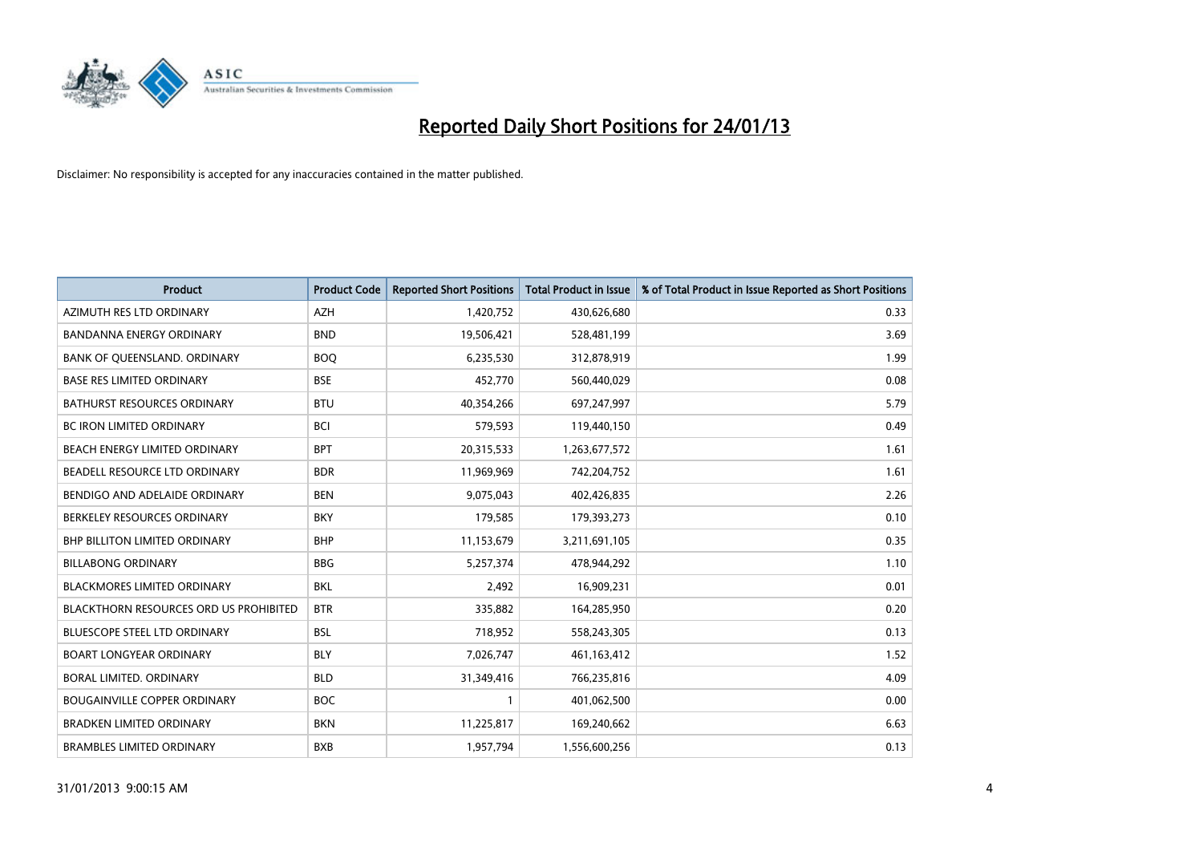

| <b>Product</b>                                | <b>Product Code</b> | <b>Reported Short Positions</b> | <b>Total Product in Issue</b> | % of Total Product in Issue Reported as Short Positions |
|-----------------------------------------------|---------------------|---------------------------------|-------------------------------|---------------------------------------------------------|
| AZIMUTH RES LTD ORDINARY                      | <b>AZH</b>          | 1,420,752                       | 430,626,680                   | 0.33                                                    |
| <b>BANDANNA ENERGY ORDINARY</b>               | <b>BND</b>          | 19,506,421                      | 528,481,199                   | 3.69                                                    |
| BANK OF QUEENSLAND. ORDINARY                  | <b>BOO</b>          | 6,235,530                       | 312,878,919                   | 1.99                                                    |
| <b>BASE RES LIMITED ORDINARY</b>              | <b>BSE</b>          | 452,770                         | 560,440,029                   | 0.08                                                    |
| <b>BATHURST RESOURCES ORDINARY</b>            | <b>BTU</b>          | 40,354,266                      | 697,247,997                   | 5.79                                                    |
| <b>BC IRON LIMITED ORDINARY</b>               | <b>BCI</b>          | 579,593                         | 119,440,150                   | 0.49                                                    |
| BEACH ENERGY LIMITED ORDINARY                 | <b>BPT</b>          | 20,315,533                      | 1,263,677,572                 | 1.61                                                    |
| BEADELL RESOURCE LTD ORDINARY                 | <b>BDR</b>          | 11,969,969                      | 742,204,752                   | 1.61                                                    |
| BENDIGO AND ADELAIDE ORDINARY                 | <b>BEN</b>          | 9,075,043                       | 402,426,835                   | 2.26                                                    |
| BERKELEY RESOURCES ORDINARY                   | <b>BKY</b>          | 179,585                         | 179,393,273                   | 0.10                                                    |
| <b>BHP BILLITON LIMITED ORDINARY</b>          | <b>BHP</b>          | 11,153,679                      | 3,211,691,105                 | 0.35                                                    |
| <b>BILLABONG ORDINARY</b>                     | <b>BBG</b>          | 5,257,374                       | 478,944,292                   | 1.10                                                    |
| <b>BLACKMORES LIMITED ORDINARY</b>            | <b>BKL</b>          | 2,492                           | 16,909,231                    | 0.01                                                    |
| <b>BLACKTHORN RESOURCES ORD US PROHIBITED</b> | <b>BTR</b>          | 335,882                         | 164,285,950                   | 0.20                                                    |
| <b>BLUESCOPE STEEL LTD ORDINARY</b>           | <b>BSL</b>          | 718,952                         | 558,243,305                   | 0.13                                                    |
| <b>BOART LONGYEAR ORDINARY</b>                | <b>BLY</b>          | 7,026,747                       | 461,163,412                   | 1.52                                                    |
| BORAL LIMITED. ORDINARY                       | <b>BLD</b>          | 31,349,416                      | 766,235,816                   | 4.09                                                    |
| <b>BOUGAINVILLE COPPER ORDINARY</b>           | <b>BOC</b>          |                                 | 401,062,500                   | 0.00                                                    |
| <b>BRADKEN LIMITED ORDINARY</b>               | <b>BKN</b>          | 11,225,817                      | 169,240,662                   | 6.63                                                    |
| <b>BRAMBLES LIMITED ORDINARY</b>              | <b>BXB</b>          | 1,957,794                       | 1,556,600,256                 | 0.13                                                    |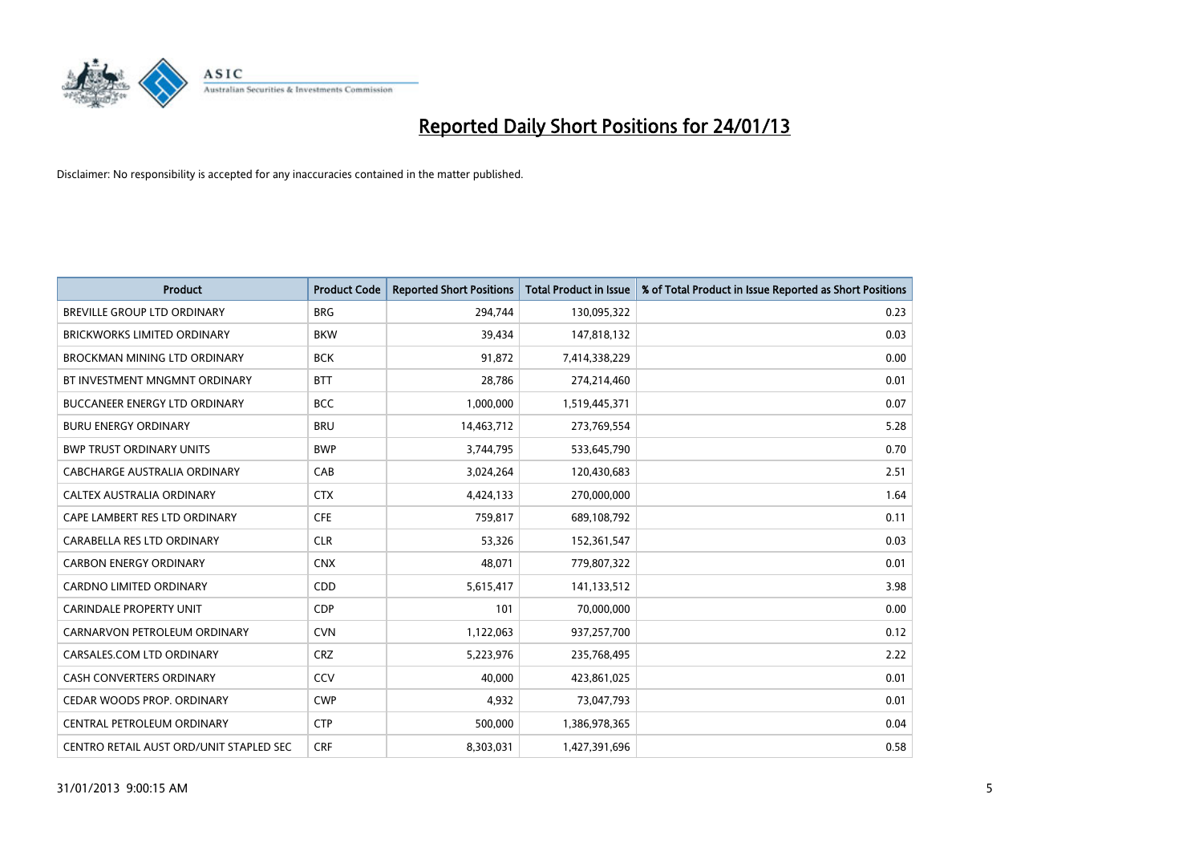

| <b>Product</b>                          | <b>Product Code</b> | <b>Reported Short Positions</b> | <b>Total Product in Issue</b> | % of Total Product in Issue Reported as Short Positions |
|-----------------------------------------|---------------------|---------------------------------|-------------------------------|---------------------------------------------------------|
| <b>BREVILLE GROUP LTD ORDINARY</b>      | <b>BRG</b>          | 294,744                         | 130,095,322                   | 0.23                                                    |
| <b>BRICKWORKS LIMITED ORDINARY</b>      | <b>BKW</b>          | 39,434                          | 147,818,132                   | 0.03                                                    |
| <b>BROCKMAN MINING LTD ORDINARY</b>     | <b>BCK</b>          | 91,872                          | 7,414,338,229                 | 0.00                                                    |
| BT INVESTMENT MNGMNT ORDINARY           | <b>BTT</b>          | 28,786                          | 274,214,460                   | 0.01                                                    |
| <b>BUCCANEER ENERGY LTD ORDINARY</b>    | <b>BCC</b>          | 1,000,000                       | 1,519,445,371                 | 0.07                                                    |
| <b>BURU ENERGY ORDINARY</b>             | <b>BRU</b>          | 14,463,712                      | 273,769,554                   | 5.28                                                    |
| <b>BWP TRUST ORDINARY UNITS</b>         | <b>BWP</b>          | 3,744,795                       | 533,645,790                   | 0.70                                                    |
| CABCHARGE AUSTRALIA ORDINARY            | CAB                 | 3,024,264                       | 120,430,683                   | 2.51                                                    |
| CALTEX AUSTRALIA ORDINARY               | <b>CTX</b>          | 4,424,133                       | 270,000,000                   | 1.64                                                    |
| CAPE LAMBERT RES LTD ORDINARY           | <b>CFE</b>          | 759.817                         | 689,108,792                   | 0.11                                                    |
| CARABELLA RES LTD ORDINARY              | <b>CLR</b>          | 53,326                          | 152,361,547                   | 0.03                                                    |
| <b>CARBON ENERGY ORDINARY</b>           | <b>CNX</b>          | 48,071                          | 779,807,322                   | 0.01                                                    |
| <b>CARDNO LIMITED ORDINARY</b>          | <b>CDD</b>          | 5,615,417                       | 141,133,512                   | 3.98                                                    |
| <b>CARINDALE PROPERTY UNIT</b>          | <b>CDP</b>          | 101                             | 70,000,000                    | 0.00                                                    |
| CARNARVON PETROLEUM ORDINARY            | <b>CVN</b>          | 1,122,063                       | 937,257,700                   | 0.12                                                    |
| CARSALES.COM LTD ORDINARY               | <b>CRZ</b>          | 5,223,976                       | 235,768,495                   | 2.22                                                    |
| <b>CASH CONVERTERS ORDINARY</b>         | CCV                 | 40,000                          | 423,861,025                   | 0.01                                                    |
| CEDAR WOODS PROP. ORDINARY              | <b>CWP</b>          | 4,932                           | 73,047,793                    | 0.01                                                    |
| CENTRAL PETROLEUM ORDINARY              | <b>CTP</b>          | 500,000                         | 1,386,978,365                 | 0.04                                                    |
| CENTRO RETAIL AUST ORD/UNIT STAPLED SEC | <b>CRF</b>          | 8,303,031                       | 1,427,391,696                 | 0.58                                                    |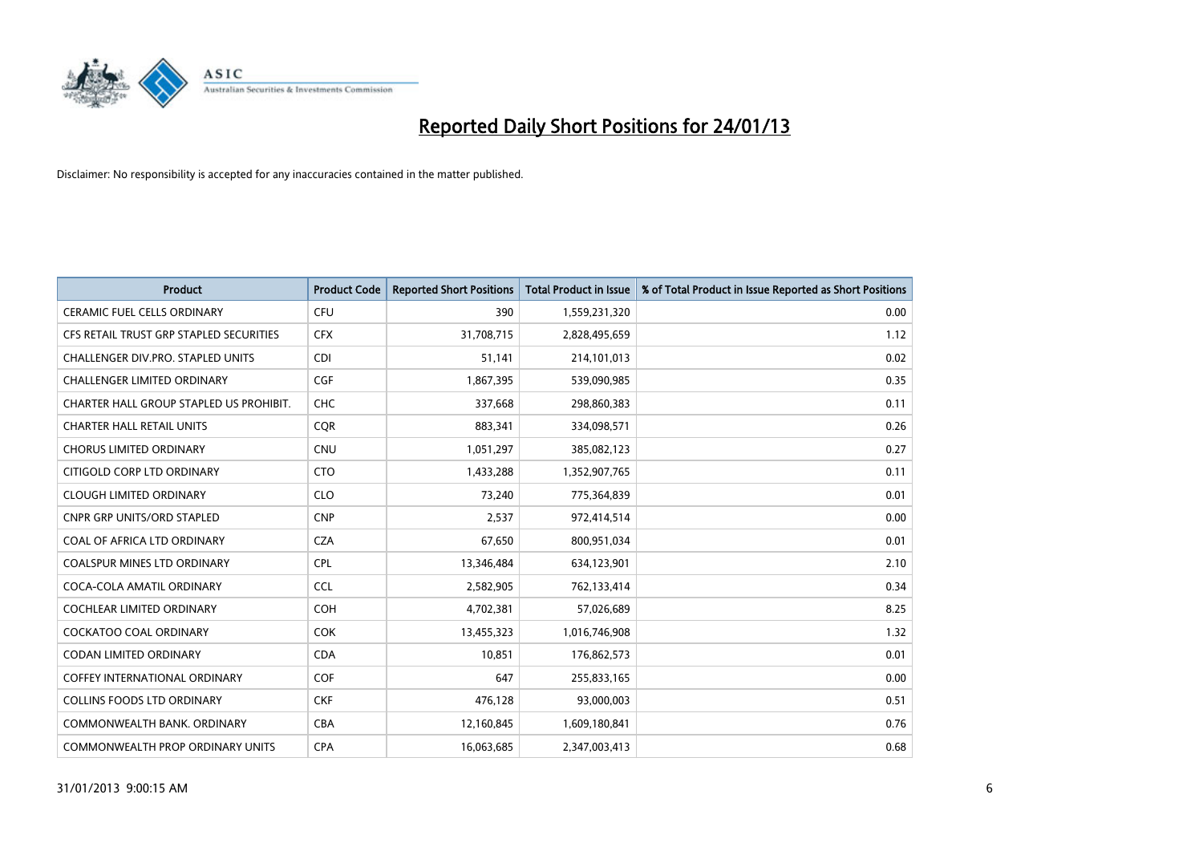

| <b>Product</b>                          | <b>Product Code</b> | <b>Reported Short Positions</b> | <b>Total Product in Issue</b> | % of Total Product in Issue Reported as Short Positions |
|-----------------------------------------|---------------------|---------------------------------|-------------------------------|---------------------------------------------------------|
| <b>CERAMIC FUEL CELLS ORDINARY</b>      | <b>CFU</b>          | 390                             | 1,559,231,320                 | 0.00                                                    |
| CFS RETAIL TRUST GRP STAPLED SECURITIES | <b>CFX</b>          | 31,708,715                      | 2,828,495,659                 | 1.12                                                    |
| CHALLENGER DIV.PRO. STAPLED UNITS       | <b>CDI</b>          | 51,141                          | 214,101,013                   | 0.02                                                    |
| CHALLENGER LIMITED ORDINARY             | <b>CGF</b>          | 1,867,395                       | 539,090,985                   | 0.35                                                    |
| CHARTER HALL GROUP STAPLED US PROHIBIT. | CHC                 | 337,668                         | 298,860,383                   | 0.11                                                    |
| <b>CHARTER HALL RETAIL UNITS</b>        | <b>CQR</b>          | 883,341                         | 334,098,571                   | 0.26                                                    |
| <b>CHORUS LIMITED ORDINARY</b>          | <b>CNU</b>          | 1,051,297                       | 385,082,123                   | 0.27                                                    |
| CITIGOLD CORP LTD ORDINARY              | <b>CTO</b>          | 1,433,288                       | 1,352,907,765                 | 0.11                                                    |
| <b>CLOUGH LIMITED ORDINARY</b>          | <b>CLO</b>          | 73,240                          | 775,364,839                   | 0.01                                                    |
| <b>CNPR GRP UNITS/ORD STAPLED</b>       | <b>CNP</b>          | 2,537                           | 972,414,514                   | 0.00                                                    |
| COAL OF AFRICA LTD ORDINARY             | <b>CZA</b>          | 67,650                          | 800,951,034                   | 0.01                                                    |
| <b>COALSPUR MINES LTD ORDINARY</b>      | CPL                 | 13,346,484                      | 634,123,901                   | 2.10                                                    |
| COCA-COLA AMATIL ORDINARY               | <b>CCL</b>          | 2,582,905                       | 762,133,414                   | 0.34                                                    |
| <b>COCHLEAR LIMITED ORDINARY</b>        | <b>COH</b>          | 4,702,381                       | 57,026,689                    | 8.25                                                    |
| <b>COCKATOO COAL ORDINARY</b>           | <b>COK</b>          | 13,455,323                      | 1,016,746,908                 | 1.32                                                    |
| CODAN LIMITED ORDINARY                  | <b>CDA</b>          | 10,851                          | 176,862,573                   | 0.01                                                    |
| <b>COFFEY INTERNATIONAL ORDINARY</b>    | <b>COF</b>          | 647                             | 255,833,165                   | 0.00                                                    |
| <b>COLLINS FOODS LTD ORDINARY</b>       | <b>CKF</b>          | 476,128                         | 93,000,003                    | 0.51                                                    |
| COMMONWEALTH BANK, ORDINARY             | <b>CBA</b>          | 12,160,845                      | 1,609,180,841                 | 0.76                                                    |
| <b>COMMONWEALTH PROP ORDINARY UNITS</b> | <b>CPA</b>          | 16,063,685                      | 2,347,003,413                 | 0.68                                                    |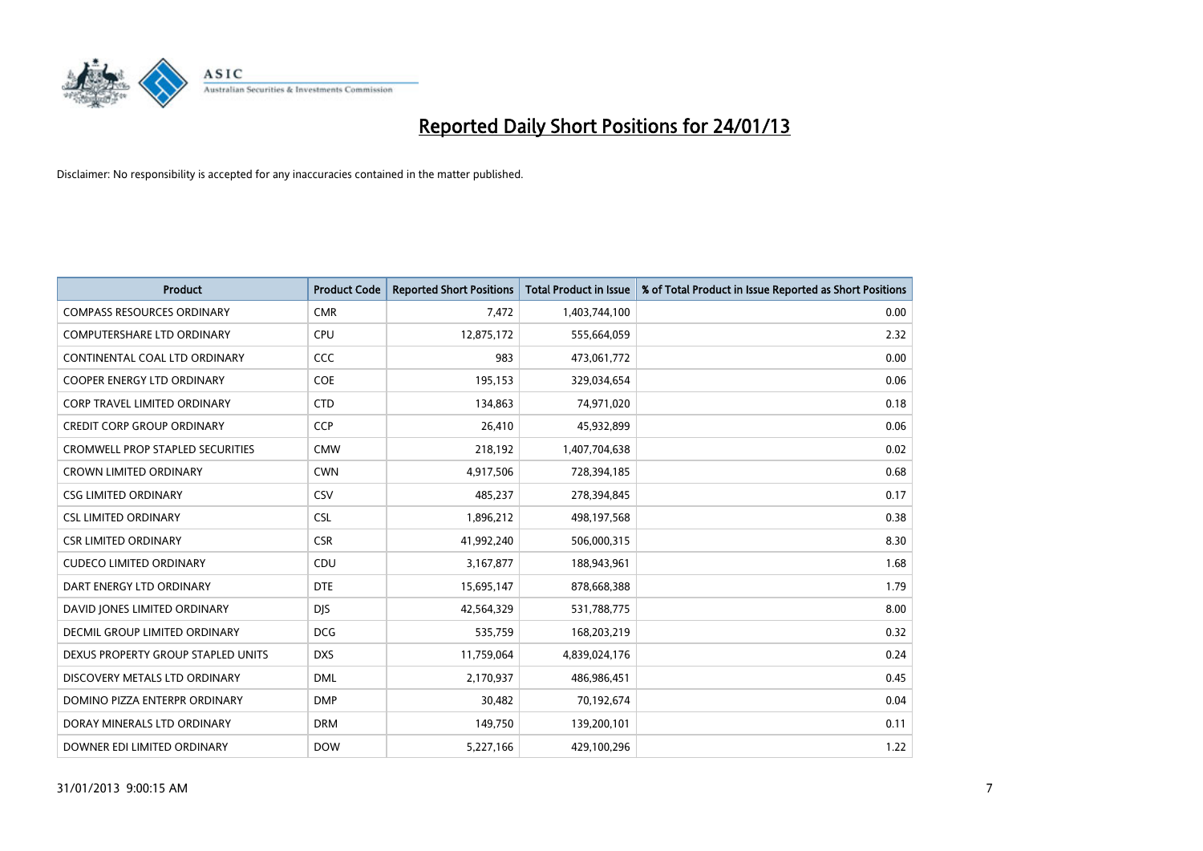

| <b>Product</b>                          | <b>Product Code</b> | <b>Reported Short Positions</b> | <b>Total Product in Issue</b> | % of Total Product in Issue Reported as Short Positions |
|-----------------------------------------|---------------------|---------------------------------|-------------------------------|---------------------------------------------------------|
| <b>COMPASS RESOURCES ORDINARY</b>       | <b>CMR</b>          | 7,472                           | 1,403,744,100                 | 0.00                                                    |
| <b>COMPUTERSHARE LTD ORDINARY</b>       | <b>CPU</b>          | 12,875,172                      | 555,664,059                   | 2.32                                                    |
| CONTINENTAL COAL LTD ORDINARY           | CCC                 | 983                             | 473,061,772                   | 0.00                                                    |
| COOPER ENERGY LTD ORDINARY              | <b>COE</b>          | 195,153                         | 329,034,654                   | 0.06                                                    |
| <b>CORP TRAVEL LIMITED ORDINARY</b>     | <b>CTD</b>          | 134,863                         | 74,971,020                    | 0.18                                                    |
| <b>CREDIT CORP GROUP ORDINARY</b>       | <b>CCP</b>          | 26,410                          | 45,932,899                    | 0.06                                                    |
| <b>CROMWELL PROP STAPLED SECURITIES</b> | <b>CMW</b>          | 218,192                         | 1,407,704,638                 | 0.02                                                    |
| <b>CROWN LIMITED ORDINARY</b>           | <b>CWN</b>          | 4,917,506                       | 728,394,185                   | 0.68                                                    |
| <b>CSG LIMITED ORDINARY</b>             | CSV                 | 485,237                         | 278,394,845                   | 0.17                                                    |
| <b>CSL LIMITED ORDINARY</b>             | <b>CSL</b>          | 1,896,212                       | 498,197,568                   | 0.38                                                    |
| <b>CSR LIMITED ORDINARY</b>             | <b>CSR</b>          | 41,992,240                      | 506,000,315                   | 8.30                                                    |
| <b>CUDECO LIMITED ORDINARY</b>          | CDU                 | 3,167,877                       | 188,943,961                   | 1.68                                                    |
| DART ENERGY LTD ORDINARY                | <b>DTE</b>          | 15,695,147                      | 878,668,388                   | 1.79                                                    |
| DAVID JONES LIMITED ORDINARY            | <b>DIS</b>          | 42,564,329                      | 531,788,775                   | 8.00                                                    |
| DECMIL GROUP LIMITED ORDINARY           | <b>DCG</b>          | 535,759                         | 168,203,219                   | 0.32                                                    |
| DEXUS PROPERTY GROUP STAPLED UNITS      | <b>DXS</b>          | 11,759,064                      | 4,839,024,176                 | 0.24                                                    |
| DISCOVERY METALS LTD ORDINARY           | <b>DML</b>          | 2,170,937                       | 486,986,451                   | 0.45                                                    |
| DOMINO PIZZA ENTERPR ORDINARY           | <b>DMP</b>          | 30,482                          | 70,192,674                    | 0.04                                                    |
| DORAY MINERALS LTD ORDINARY             | <b>DRM</b>          | 149,750                         | 139,200,101                   | 0.11                                                    |
| DOWNER EDI LIMITED ORDINARY             | <b>DOW</b>          | 5,227,166                       | 429,100,296                   | 1.22                                                    |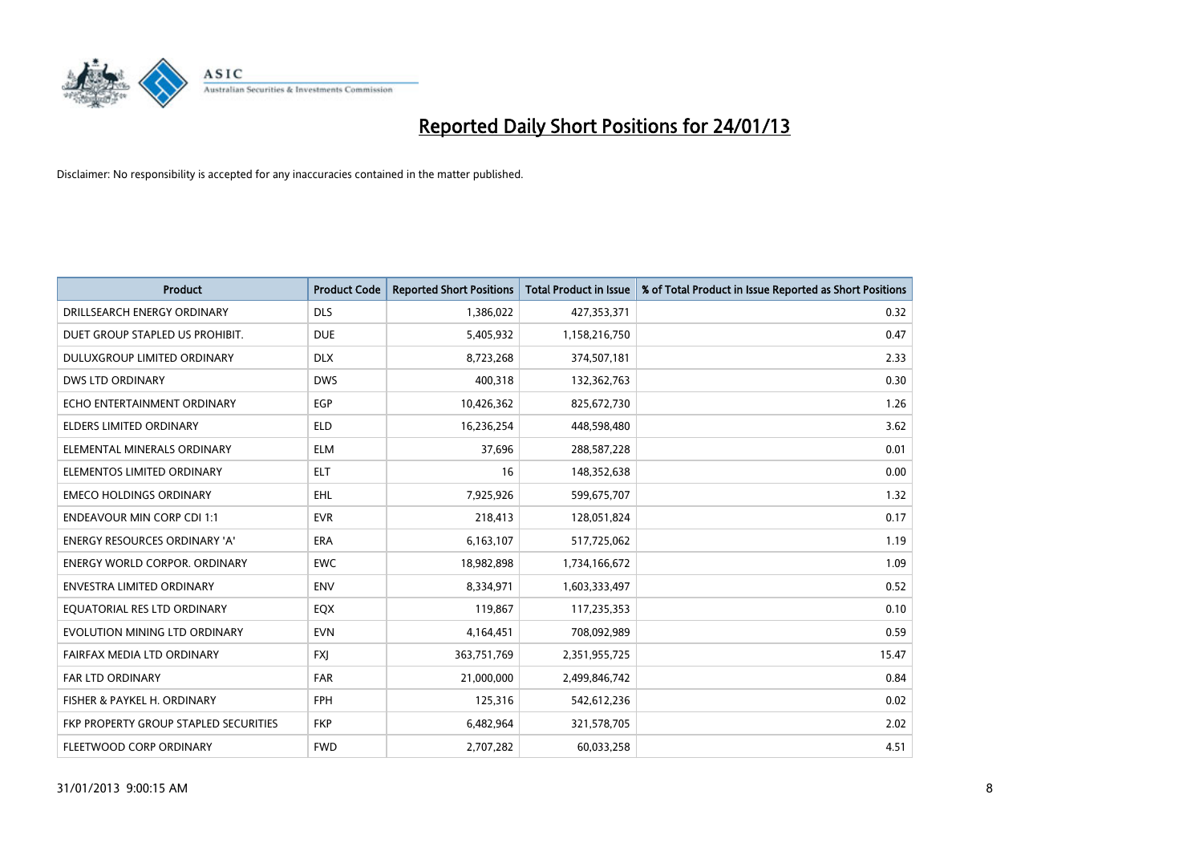

| <b>Product</b>                        | <b>Product Code</b> | <b>Reported Short Positions</b> | <b>Total Product in Issue</b> | % of Total Product in Issue Reported as Short Positions |
|---------------------------------------|---------------------|---------------------------------|-------------------------------|---------------------------------------------------------|
| DRILLSEARCH ENERGY ORDINARY           | <b>DLS</b>          | 1,386,022                       | 427,353,371                   | 0.32                                                    |
| DUET GROUP STAPLED US PROHIBIT.       | <b>DUE</b>          | 5,405,932                       | 1,158,216,750                 | 0.47                                                    |
| DULUXGROUP LIMITED ORDINARY           | <b>DLX</b>          | 8,723,268                       | 374,507,181                   | 2.33                                                    |
| <b>DWS LTD ORDINARY</b>               | <b>DWS</b>          | 400,318                         | 132,362,763                   | 0.30                                                    |
| ECHO ENTERTAINMENT ORDINARY           | EGP                 | 10,426,362                      | 825,672,730                   | 1.26                                                    |
| ELDERS LIMITED ORDINARY               | <b>ELD</b>          | 16,236,254                      | 448,598,480                   | 3.62                                                    |
| ELEMENTAL MINERALS ORDINARY           | <b>ELM</b>          | 37,696                          | 288,587,228                   | 0.01                                                    |
| ELEMENTOS LIMITED ORDINARY            | <b>ELT</b>          | 16                              | 148,352,638                   | 0.00                                                    |
| <b>EMECO HOLDINGS ORDINARY</b>        | <b>EHL</b>          | 7,925,926                       | 599,675,707                   | 1.32                                                    |
| <b>ENDEAVOUR MIN CORP CDI 1:1</b>     | <b>EVR</b>          | 218,413                         | 128,051,824                   | 0.17                                                    |
| ENERGY RESOURCES ORDINARY 'A'         | <b>ERA</b>          | 6,163,107                       | 517,725,062                   | 1.19                                                    |
| <b>ENERGY WORLD CORPOR, ORDINARY</b>  | <b>EWC</b>          | 18,982,898                      | 1,734,166,672                 | 1.09                                                    |
| <b>ENVESTRA LIMITED ORDINARY</b>      | <b>ENV</b>          | 8,334,971                       | 1,603,333,497                 | 0.52                                                    |
| EQUATORIAL RES LTD ORDINARY           | <b>EQX</b>          | 119,867                         | 117,235,353                   | 0.10                                                    |
| EVOLUTION MINING LTD ORDINARY         | <b>EVN</b>          | 4,164,451                       | 708,092,989                   | 0.59                                                    |
| FAIRFAX MEDIA LTD ORDINARY            | <b>FXI</b>          | 363,751,769                     | 2,351,955,725                 | 15.47                                                   |
| FAR LTD ORDINARY                      | <b>FAR</b>          | 21,000,000                      | 2,499,846,742                 | 0.84                                                    |
| FISHER & PAYKEL H. ORDINARY           | <b>FPH</b>          | 125,316                         | 542,612,236                   | 0.02                                                    |
| FKP PROPERTY GROUP STAPLED SECURITIES | <b>FKP</b>          | 6,482,964                       | 321,578,705                   | 2.02                                                    |
| FLEETWOOD CORP ORDINARY               | <b>FWD</b>          | 2,707,282                       | 60,033,258                    | 4.51                                                    |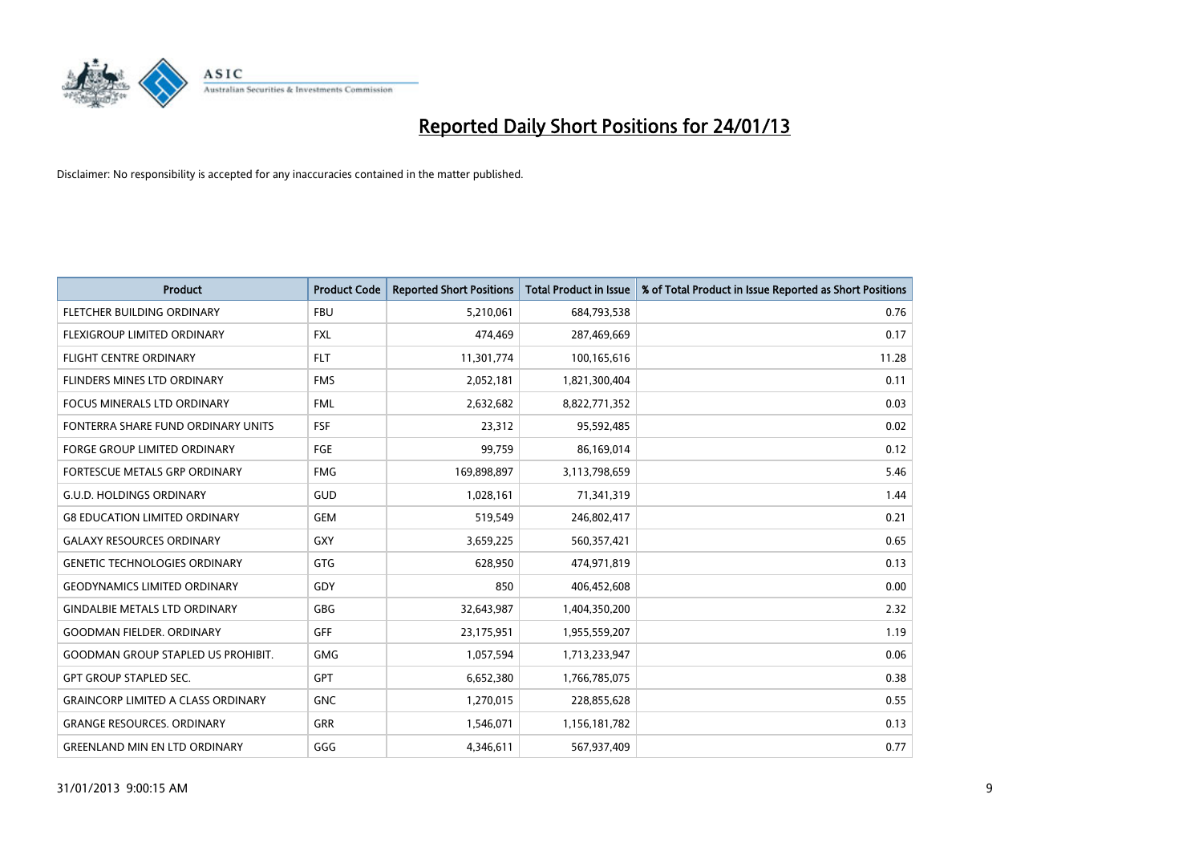

| <b>Product</b>                            | <b>Product Code</b> | <b>Reported Short Positions</b> | <b>Total Product in Issue</b> | % of Total Product in Issue Reported as Short Positions |
|-------------------------------------------|---------------------|---------------------------------|-------------------------------|---------------------------------------------------------|
| FLETCHER BUILDING ORDINARY                | <b>FBU</b>          | 5,210,061                       | 684,793,538                   | 0.76                                                    |
| <b>FLEXIGROUP LIMITED ORDINARY</b>        | <b>FXL</b>          | 474,469                         | 287,469,669                   | 0.17                                                    |
| <b>FLIGHT CENTRE ORDINARY</b>             | <b>FLT</b>          | 11,301,774                      | 100,165,616                   | 11.28                                                   |
| FLINDERS MINES LTD ORDINARY               | <b>FMS</b>          | 2,052,181                       | 1,821,300,404                 | 0.11                                                    |
| <b>FOCUS MINERALS LTD ORDINARY</b>        | <b>FML</b>          | 2,632,682                       | 8,822,771,352                 | 0.03                                                    |
| FONTERRA SHARE FUND ORDINARY UNITS        | <b>FSF</b>          | 23,312                          | 95,592,485                    | 0.02                                                    |
| <b>FORGE GROUP LIMITED ORDINARY</b>       | <b>FGE</b>          | 99,759                          | 86,169,014                    | 0.12                                                    |
| FORTESCUE METALS GRP ORDINARY             | <b>FMG</b>          | 169,898,897                     | 3,113,798,659                 | 5.46                                                    |
| <b>G.U.D. HOLDINGS ORDINARY</b>           | GUD                 | 1,028,161                       | 71,341,319                    | 1.44                                                    |
| <b>G8 EDUCATION LIMITED ORDINARY</b>      | <b>GEM</b>          | 519,549                         | 246,802,417                   | 0.21                                                    |
| <b>GALAXY RESOURCES ORDINARY</b>          | <b>GXY</b>          | 3,659,225                       | 560,357,421                   | 0.65                                                    |
| <b>GENETIC TECHNOLOGIES ORDINARY</b>      | <b>GTG</b>          | 628,950                         | 474,971,819                   | 0.13                                                    |
| <b>GEODYNAMICS LIMITED ORDINARY</b>       | GDY                 | 850                             | 406,452,608                   | 0.00                                                    |
| <b>GINDALBIE METALS LTD ORDINARY</b>      | <b>GBG</b>          | 32,643,987                      | 1,404,350,200                 | 2.32                                                    |
| <b>GOODMAN FIELDER, ORDINARY</b>          | GFF                 | 23,175,951                      | 1,955,559,207                 | 1.19                                                    |
| <b>GOODMAN GROUP STAPLED US PROHIBIT.</b> | <b>GMG</b>          | 1,057,594                       | 1,713,233,947                 | 0.06                                                    |
| <b>GPT GROUP STAPLED SEC.</b>             | <b>GPT</b>          | 6,652,380                       | 1,766,785,075                 | 0.38                                                    |
| <b>GRAINCORP LIMITED A CLASS ORDINARY</b> | <b>GNC</b>          | 1,270,015                       | 228,855,628                   | 0.55                                                    |
| <b>GRANGE RESOURCES. ORDINARY</b>         | <b>GRR</b>          | 1,546,071                       | 1,156,181,782                 | 0.13                                                    |
| <b>GREENLAND MIN EN LTD ORDINARY</b>      | GGG                 | 4,346,611                       | 567,937,409                   | 0.77                                                    |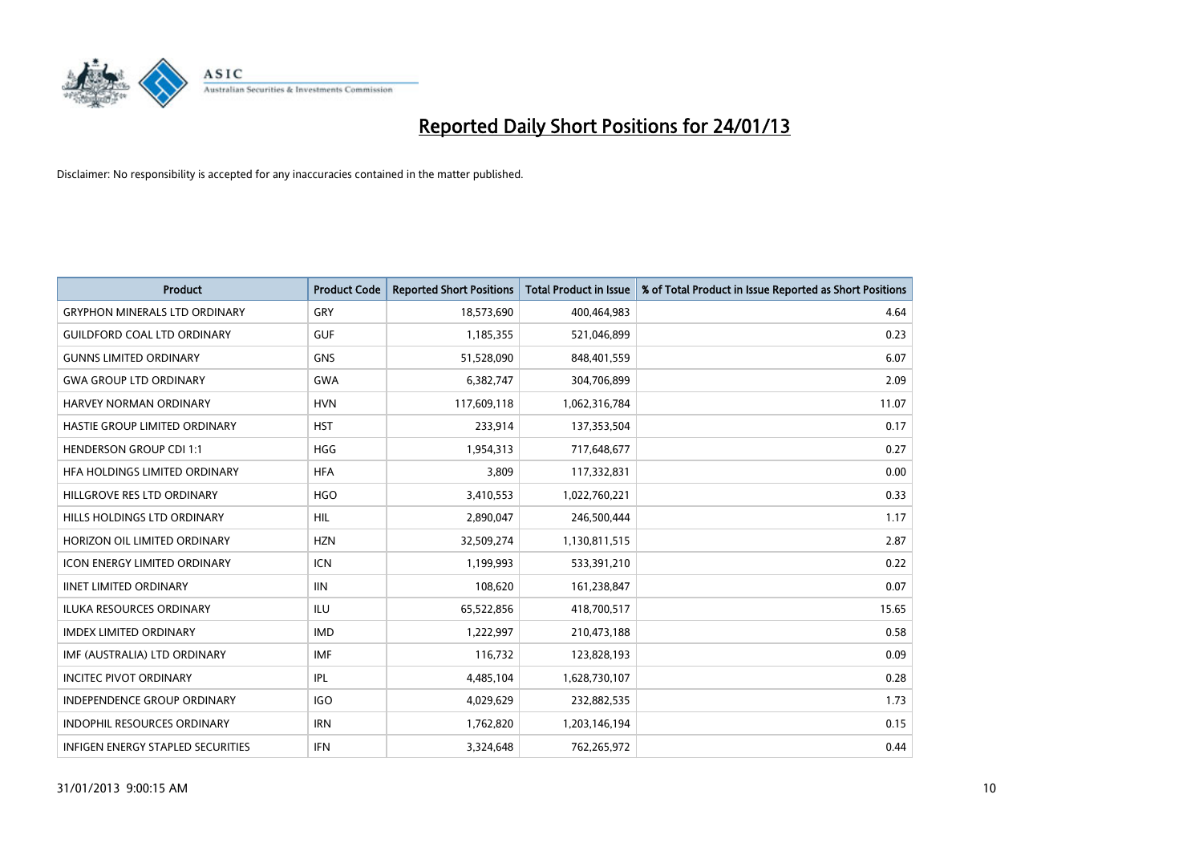

| <b>Product</b>                       | <b>Product Code</b> | <b>Reported Short Positions</b> | <b>Total Product in Issue</b> | % of Total Product in Issue Reported as Short Positions |
|--------------------------------------|---------------------|---------------------------------|-------------------------------|---------------------------------------------------------|
| <b>GRYPHON MINERALS LTD ORDINARY</b> | GRY                 | 18,573,690                      | 400,464,983                   | 4.64                                                    |
| <b>GUILDFORD COAL LTD ORDINARY</b>   | <b>GUF</b>          | 1,185,355                       | 521,046,899                   | 0.23                                                    |
| <b>GUNNS LIMITED ORDINARY</b>        | <b>GNS</b>          | 51,528,090                      | 848,401,559                   | 6.07                                                    |
| <b>GWA GROUP LTD ORDINARY</b>        | <b>GWA</b>          | 6,382,747                       | 304,706,899                   | 2.09                                                    |
| HARVEY NORMAN ORDINARY               | <b>HVN</b>          | 117,609,118                     | 1,062,316,784                 | 11.07                                                   |
| HASTIE GROUP LIMITED ORDINARY        | <b>HST</b>          | 233,914                         | 137,353,504                   | 0.17                                                    |
| <b>HENDERSON GROUP CDI 1:1</b>       | <b>HGG</b>          | 1,954,313                       | 717,648,677                   | 0.27                                                    |
| HFA HOLDINGS LIMITED ORDINARY        | <b>HFA</b>          | 3,809                           | 117,332,831                   | 0.00                                                    |
| HILLGROVE RES LTD ORDINARY           | <b>HGO</b>          | 3,410,553                       | 1,022,760,221                 | 0.33                                                    |
| HILLS HOLDINGS LTD ORDINARY          | <b>HIL</b>          | 2,890,047                       | 246,500,444                   | 1.17                                                    |
| HORIZON OIL LIMITED ORDINARY         | <b>HZN</b>          | 32,509,274                      | 1,130,811,515                 | 2.87                                                    |
| <b>ICON ENERGY LIMITED ORDINARY</b>  | <b>ICN</b>          | 1,199,993                       | 533,391,210                   | 0.22                                                    |
| <b>IINET LIMITED ORDINARY</b>        | <b>IIN</b>          | 108,620                         | 161,238,847                   | 0.07                                                    |
| <b>ILUKA RESOURCES ORDINARY</b>      | ILU                 | 65,522,856                      | 418,700,517                   | 15.65                                                   |
| <b>IMDEX LIMITED ORDINARY</b>        | <b>IMD</b>          | 1,222,997                       | 210,473,188                   | 0.58                                                    |
| IMF (AUSTRALIA) LTD ORDINARY         | <b>IMF</b>          | 116,732                         | 123,828,193                   | 0.09                                                    |
| <b>INCITEC PIVOT ORDINARY</b>        | <b>IPL</b>          | 4,485,104                       | 1,628,730,107                 | 0.28                                                    |
| INDEPENDENCE GROUP ORDINARY          | <b>IGO</b>          | 4,029,629                       | 232,882,535                   | 1.73                                                    |
| <b>INDOPHIL RESOURCES ORDINARY</b>   | <b>IRN</b>          | 1,762,820                       | 1,203,146,194                 | 0.15                                                    |
| INFIGEN ENERGY STAPLED SECURITIES    | <b>IFN</b>          | 3,324,648                       | 762,265,972                   | 0.44                                                    |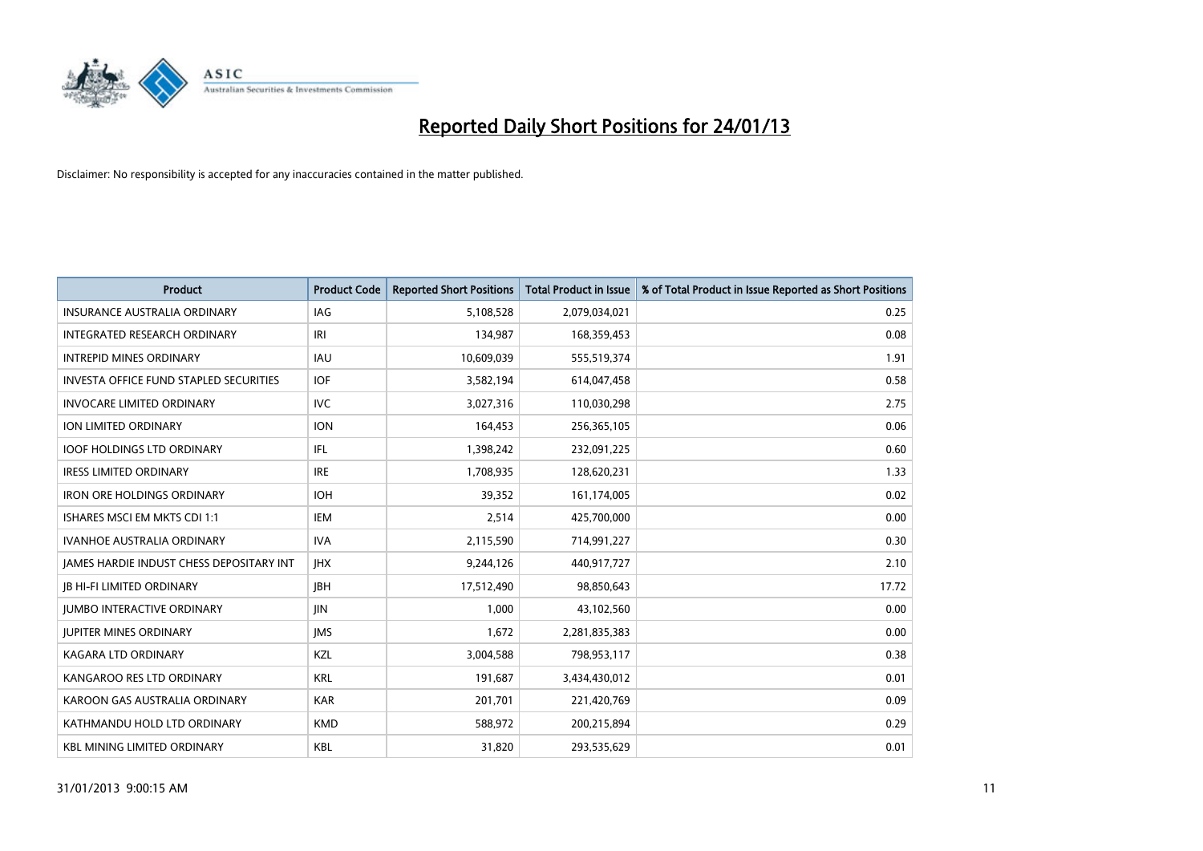

| <b>Product</b>                                  | <b>Product Code</b> | <b>Reported Short Positions</b> | <b>Total Product in Issue</b> | % of Total Product in Issue Reported as Short Positions |
|-------------------------------------------------|---------------------|---------------------------------|-------------------------------|---------------------------------------------------------|
| <b>INSURANCE AUSTRALIA ORDINARY</b>             | IAG                 | 5,108,528                       | 2,079,034,021                 | 0.25                                                    |
| INTEGRATED RESEARCH ORDINARY                    | IRI                 | 134,987                         | 168,359,453                   | 0.08                                                    |
| <b>INTREPID MINES ORDINARY</b>                  | <b>IAU</b>          | 10,609,039                      | 555,519,374                   | 1.91                                                    |
| INVESTA OFFICE FUND STAPLED SECURITIES          | <b>IOF</b>          | 3,582,194                       | 614,047,458                   | 0.58                                                    |
| <b>INVOCARE LIMITED ORDINARY</b>                | <b>IVC</b>          | 3,027,316                       | 110,030,298                   | 2.75                                                    |
| <b>ION LIMITED ORDINARY</b>                     | <b>ION</b>          | 164,453                         | 256,365,105                   | 0.06                                                    |
| <b>IOOF HOLDINGS LTD ORDINARY</b>               | IFL                 | 1,398,242                       | 232,091,225                   | 0.60                                                    |
| <b>IRESS LIMITED ORDINARY</b>                   | <b>IRE</b>          | 1,708,935                       | 128,620,231                   | 1.33                                                    |
| <b>IRON ORE HOLDINGS ORDINARY</b>               | <b>IOH</b>          | 39,352                          | 161,174,005                   | 0.02                                                    |
| ISHARES MSCI EM MKTS CDI 1:1                    | <b>IEM</b>          | 2,514                           | 425,700,000                   | 0.00                                                    |
| IVANHOE AUSTRALIA ORDINARY                      | IVA.                | 2,115,590                       | 714,991,227                   | 0.30                                                    |
| <b>IAMES HARDIE INDUST CHESS DEPOSITARY INT</b> | <b>IHX</b>          | 9,244,126                       | 440,917,727                   | 2.10                                                    |
| <b>JB HI-FI LIMITED ORDINARY</b>                | <b>IBH</b>          | 17,512,490                      | 98,850,643                    | 17.72                                                   |
| <b>JUMBO INTERACTIVE ORDINARY</b>               | <b>JIN</b>          | 1,000                           | 43,102,560                    | 0.00                                                    |
| <b>JUPITER MINES ORDINARY</b>                   | <b>IMS</b>          | 1,672                           | 2,281,835,383                 | 0.00                                                    |
| KAGARA LTD ORDINARY                             | <b>KZL</b>          | 3,004,588                       | 798,953,117                   | 0.38                                                    |
| KANGAROO RES LTD ORDINARY                       | <b>KRL</b>          | 191,687                         | 3,434,430,012                 | 0.01                                                    |
| KAROON GAS AUSTRALIA ORDINARY                   | <b>KAR</b>          | 201,701                         | 221,420,769                   | 0.09                                                    |
| KATHMANDU HOLD LTD ORDINARY                     | <b>KMD</b>          | 588,972                         | 200,215,894                   | 0.29                                                    |
| <b>KBL MINING LIMITED ORDINARY</b>              | <b>KBL</b>          | 31,820                          | 293,535,629                   | 0.01                                                    |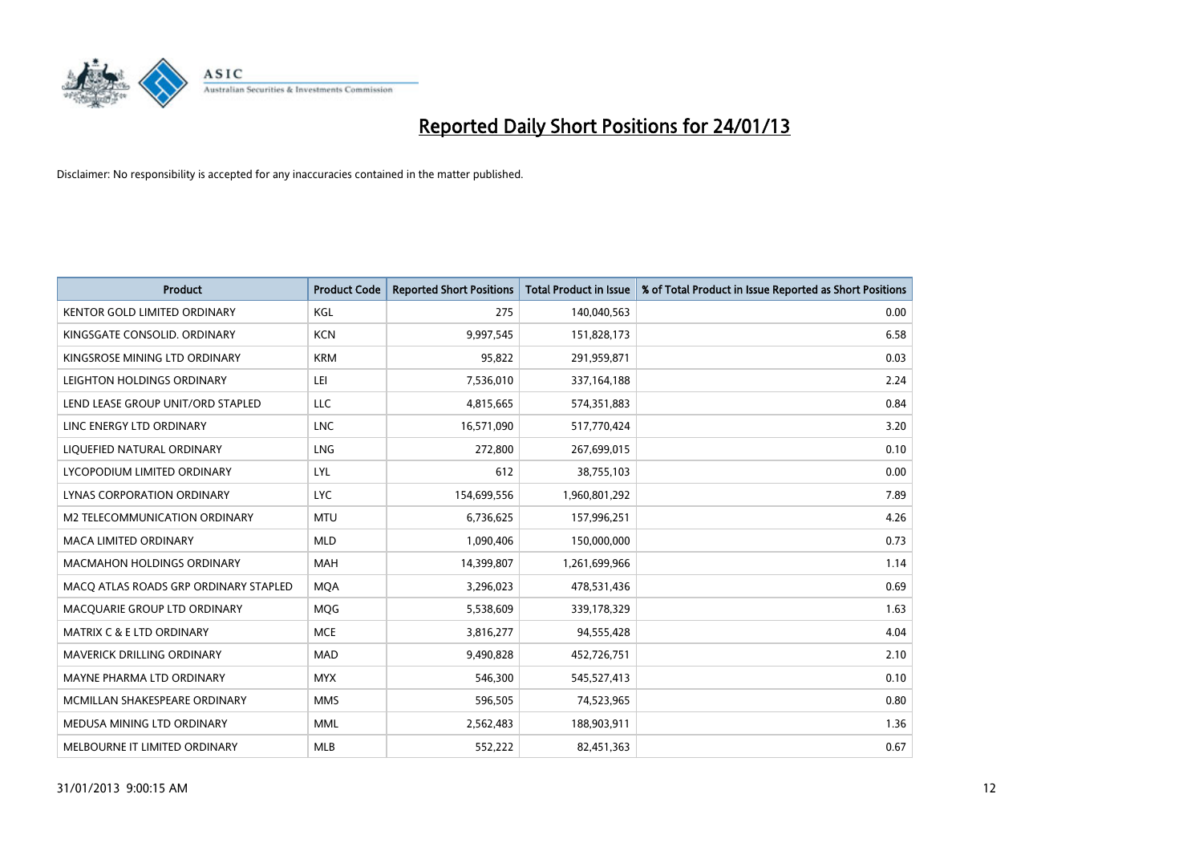

| <b>Product</b>                        | <b>Product Code</b> | <b>Reported Short Positions</b> | <b>Total Product in Issue</b> | % of Total Product in Issue Reported as Short Positions |
|---------------------------------------|---------------------|---------------------------------|-------------------------------|---------------------------------------------------------|
| <b>KENTOR GOLD LIMITED ORDINARY</b>   | KGL                 | 275                             | 140,040,563                   | 0.00                                                    |
| KINGSGATE CONSOLID. ORDINARY          | <b>KCN</b>          | 9,997,545                       | 151,828,173                   | 6.58                                                    |
| KINGSROSE MINING LTD ORDINARY         | <b>KRM</b>          | 95,822                          | 291,959,871                   | 0.03                                                    |
| LEIGHTON HOLDINGS ORDINARY            | LEI                 | 7,536,010                       | 337,164,188                   | 2.24                                                    |
| LEND LEASE GROUP UNIT/ORD STAPLED     | LLC                 | 4,815,665                       | 574,351,883                   | 0.84                                                    |
| LINC ENERGY LTD ORDINARY              | <b>LNC</b>          | 16,571,090                      | 517,770,424                   | 3.20                                                    |
| LIQUEFIED NATURAL ORDINARY            | <b>LNG</b>          | 272,800                         | 267,699,015                   | 0.10                                                    |
| LYCOPODIUM LIMITED ORDINARY           | LYL                 | 612                             | 38,755,103                    | 0.00                                                    |
| LYNAS CORPORATION ORDINARY            | <b>LYC</b>          | 154,699,556                     | 1,960,801,292                 | 7.89                                                    |
| <b>M2 TELECOMMUNICATION ORDINARY</b>  | <b>MTU</b>          | 6,736,625                       | 157,996,251                   | 4.26                                                    |
| MACA LIMITED ORDINARY                 | <b>MLD</b>          | 1,090,406                       | 150,000,000                   | 0.73                                                    |
| <b>MACMAHON HOLDINGS ORDINARY</b>     | <b>MAH</b>          | 14,399,807                      | 1,261,699,966                 | 1.14                                                    |
| MACQ ATLAS ROADS GRP ORDINARY STAPLED | <b>MOA</b>          | 3,296,023                       | 478,531,436                   | 0.69                                                    |
| MACQUARIE GROUP LTD ORDINARY          | <b>MOG</b>          | 5,538,609                       | 339,178,329                   | 1.63                                                    |
| <b>MATRIX C &amp; E LTD ORDINARY</b>  | <b>MCE</b>          | 3,816,277                       | 94,555,428                    | 4.04                                                    |
| MAVERICK DRILLING ORDINARY            | <b>MAD</b>          | 9,490,828                       | 452,726,751                   | 2.10                                                    |
| MAYNE PHARMA LTD ORDINARY             | <b>MYX</b>          | 546,300                         | 545,527,413                   | 0.10                                                    |
| MCMILLAN SHAKESPEARE ORDINARY         | <b>MMS</b>          | 596,505                         | 74,523,965                    | 0.80                                                    |
| MEDUSA MINING LTD ORDINARY            | <b>MML</b>          | 2,562,483                       | 188,903,911                   | 1.36                                                    |
| MELBOURNE IT LIMITED ORDINARY         | <b>MLB</b>          | 552,222                         | 82,451,363                    | 0.67                                                    |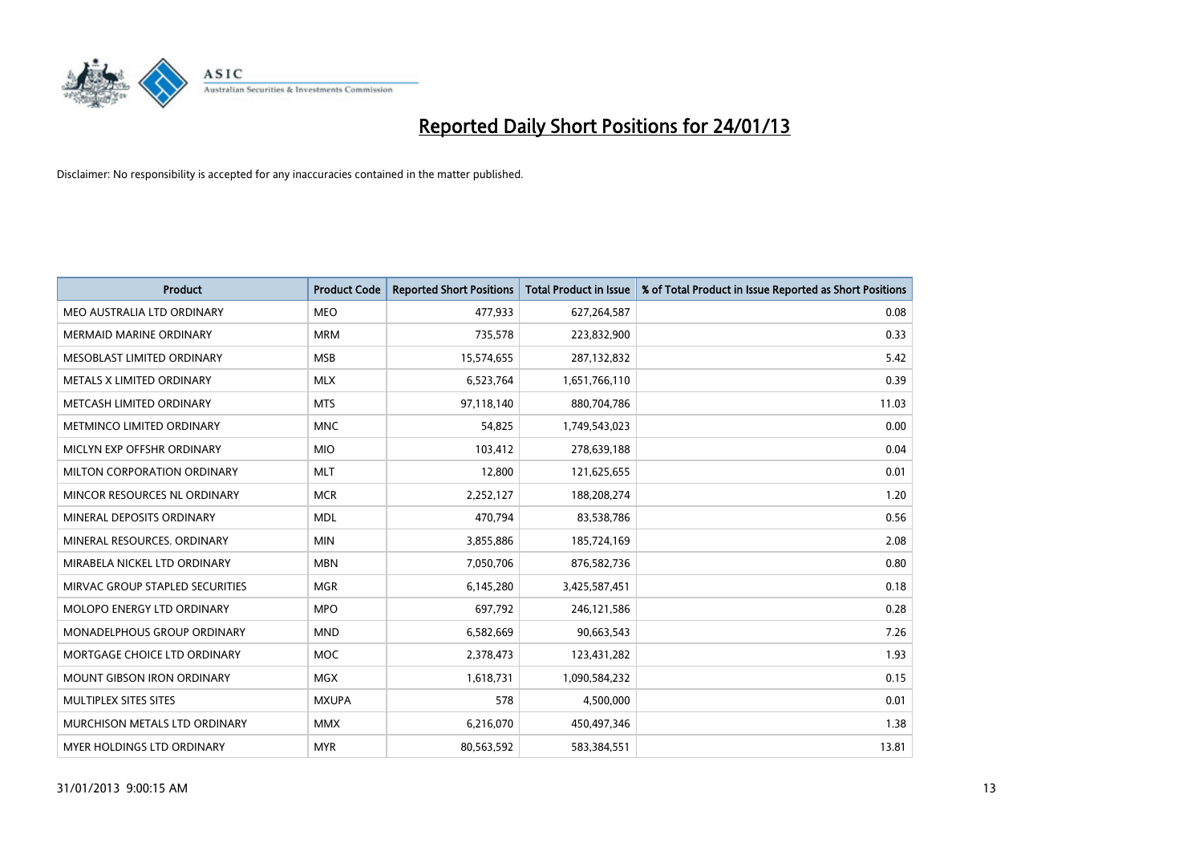

| <b>Product</b>                     | <b>Product Code</b> | <b>Reported Short Positions</b> | <b>Total Product in Issue</b> | % of Total Product in Issue Reported as Short Positions |
|------------------------------------|---------------------|---------------------------------|-------------------------------|---------------------------------------------------------|
| MEO AUSTRALIA LTD ORDINARY         | <b>MEO</b>          | 477,933                         | 627,264,587                   | 0.08                                                    |
| <b>MERMAID MARINE ORDINARY</b>     | <b>MRM</b>          | 735,578                         | 223,832,900                   | 0.33                                                    |
| MESOBLAST LIMITED ORDINARY         | <b>MSB</b>          | 15,574,655                      | 287,132,832                   | 5.42                                                    |
| METALS X LIMITED ORDINARY          | <b>MLX</b>          | 6,523,764                       | 1,651,766,110                 | 0.39                                                    |
| METCASH LIMITED ORDINARY           | <b>MTS</b>          | 97,118,140                      | 880,704,786                   | 11.03                                                   |
| METMINCO LIMITED ORDINARY          | <b>MNC</b>          | 54,825                          | 1,749,543,023                 | 0.00                                                    |
| MICLYN EXP OFFSHR ORDINARY         | <b>MIO</b>          | 103,412                         | 278,639,188                   | 0.04                                                    |
| MILTON CORPORATION ORDINARY        | <b>MLT</b>          | 12,800                          | 121,625,655                   | 0.01                                                    |
| MINCOR RESOURCES NL ORDINARY       | <b>MCR</b>          | 2,252,127                       | 188,208,274                   | 1.20                                                    |
| MINERAL DEPOSITS ORDINARY          | <b>MDL</b>          | 470,794                         | 83,538,786                    | 0.56                                                    |
| MINERAL RESOURCES. ORDINARY        | <b>MIN</b>          | 3,855,886                       | 185,724,169                   | 2.08                                                    |
| MIRABELA NICKEL LTD ORDINARY       | <b>MBN</b>          | 7,050,706                       | 876,582,736                   | 0.80                                                    |
| MIRVAC GROUP STAPLED SECURITIES    | <b>MGR</b>          | 6,145,280                       | 3,425,587,451                 | 0.18                                                    |
| MOLOPO ENERGY LTD ORDINARY         | <b>MPO</b>          | 697,792                         | 246,121,586                   | 0.28                                                    |
| <b>MONADELPHOUS GROUP ORDINARY</b> | <b>MND</b>          | 6,582,669                       | 90,663,543                    | 7.26                                                    |
| MORTGAGE CHOICE LTD ORDINARY       | <b>MOC</b>          | 2,378,473                       | 123,431,282                   | 1.93                                                    |
| MOUNT GIBSON IRON ORDINARY         | MGX                 | 1,618,731                       | 1,090,584,232                 | 0.15                                                    |
| MULTIPLEX SITES SITES              | <b>MXUPA</b>        | 578                             | 4,500,000                     | 0.01                                                    |
| MURCHISON METALS LTD ORDINARY      | <b>MMX</b>          | 6,216,070                       | 450,497,346                   | 1.38                                                    |
| MYER HOLDINGS LTD ORDINARY         | <b>MYR</b>          | 80,563,592                      | 583,384,551                   | 13.81                                                   |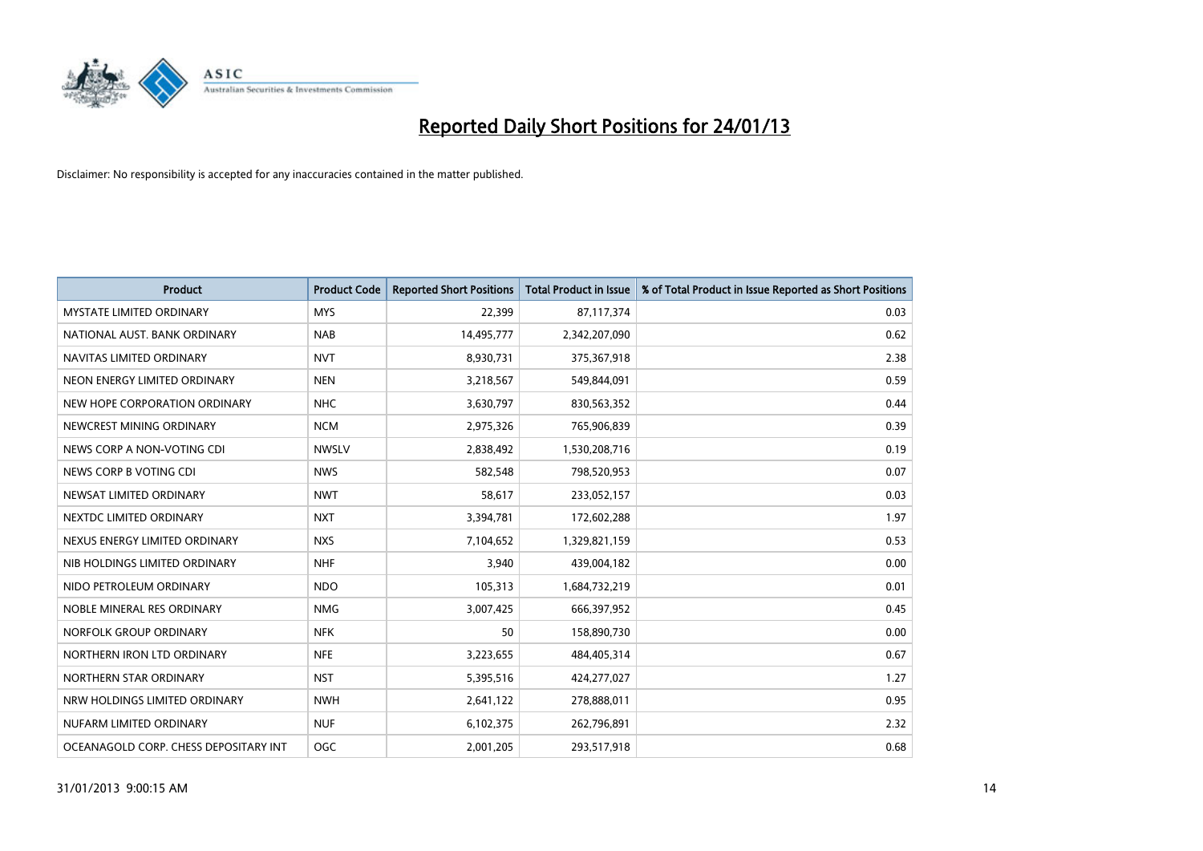

| <b>Product</b>                        | <b>Product Code</b> | <b>Reported Short Positions</b> | <b>Total Product in Issue</b> | % of Total Product in Issue Reported as Short Positions |
|---------------------------------------|---------------------|---------------------------------|-------------------------------|---------------------------------------------------------|
| <b>MYSTATE LIMITED ORDINARY</b>       | <b>MYS</b>          | 22,399                          | 87,117,374                    | 0.03                                                    |
| NATIONAL AUST. BANK ORDINARY          | <b>NAB</b>          | 14,495,777                      | 2,342,207,090                 | 0.62                                                    |
| NAVITAS LIMITED ORDINARY              | <b>NVT</b>          | 8,930,731                       | 375,367,918                   | 2.38                                                    |
| NEON ENERGY LIMITED ORDINARY          | <b>NEN</b>          | 3,218,567                       | 549,844,091                   | 0.59                                                    |
| NEW HOPE CORPORATION ORDINARY         | <b>NHC</b>          | 3,630,797                       | 830,563,352                   | 0.44                                                    |
| NEWCREST MINING ORDINARY              | <b>NCM</b>          | 2,975,326                       | 765,906,839                   | 0.39                                                    |
| NEWS CORP A NON-VOTING CDI            | <b>NWSLV</b>        | 2,838,492                       | 1,530,208,716                 | 0.19                                                    |
| NEWS CORP B VOTING CDI                | <b>NWS</b>          | 582,548                         | 798,520,953                   | 0.07                                                    |
| NEWSAT LIMITED ORDINARY               | <b>NWT</b>          | 58,617                          | 233,052,157                   | 0.03                                                    |
| NEXTDC LIMITED ORDINARY               | <b>NXT</b>          | 3,394,781                       | 172,602,288                   | 1.97                                                    |
| NEXUS ENERGY LIMITED ORDINARY         | <b>NXS</b>          | 7,104,652                       | 1,329,821,159                 | 0.53                                                    |
| NIB HOLDINGS LIMITED ORDINARY         | <b>NHF</b>          | 3,940                           | 439,004,182                   | 0.00                                                    |
| NIDO PETROLEUM ORDINARY               | <b>NDO</b>          | 105,313                         | 1,684,732,219                 | 0.01                                                    |
| NOBLE MINERAL RES ORDINARY            | <b>NMG</b>          | 3,007,425                       | 666,397,952                   | 0.45                                                    |
| NORFOLK GROUP ORDINARY                | <b>NFK</b>          | 50                              | 158,890,730                   | 0.00                                                    |
| NORTHERN IRON LTD ORDINARY            | <b>NFE</b>          | 3,223,655                       | 484,405,314                   | 0.67                                                    |
| NORTHERN STAR ORDINARY                | <b>NST</b>          | 5,395,516                       | 424,277,027                   | 1.27                                                    |
| NRW HOLDINGS LIMITED ORDINARY         | <b>NWH</b>          | 2,641,122                       | 278,888,011                   | 0.95                                                    |
| NUFARM LIMITED ORDINARY               | <b>NUF</b>          | 6,102,375                       | 262,796,891                   | 2.32                                                    |
| OCEANAGOLD CORP. CHESS DEPOSITARY INT | <b>OGC</b>          | 2,001,205                       | 293,517,918                   | 0.68                                                    |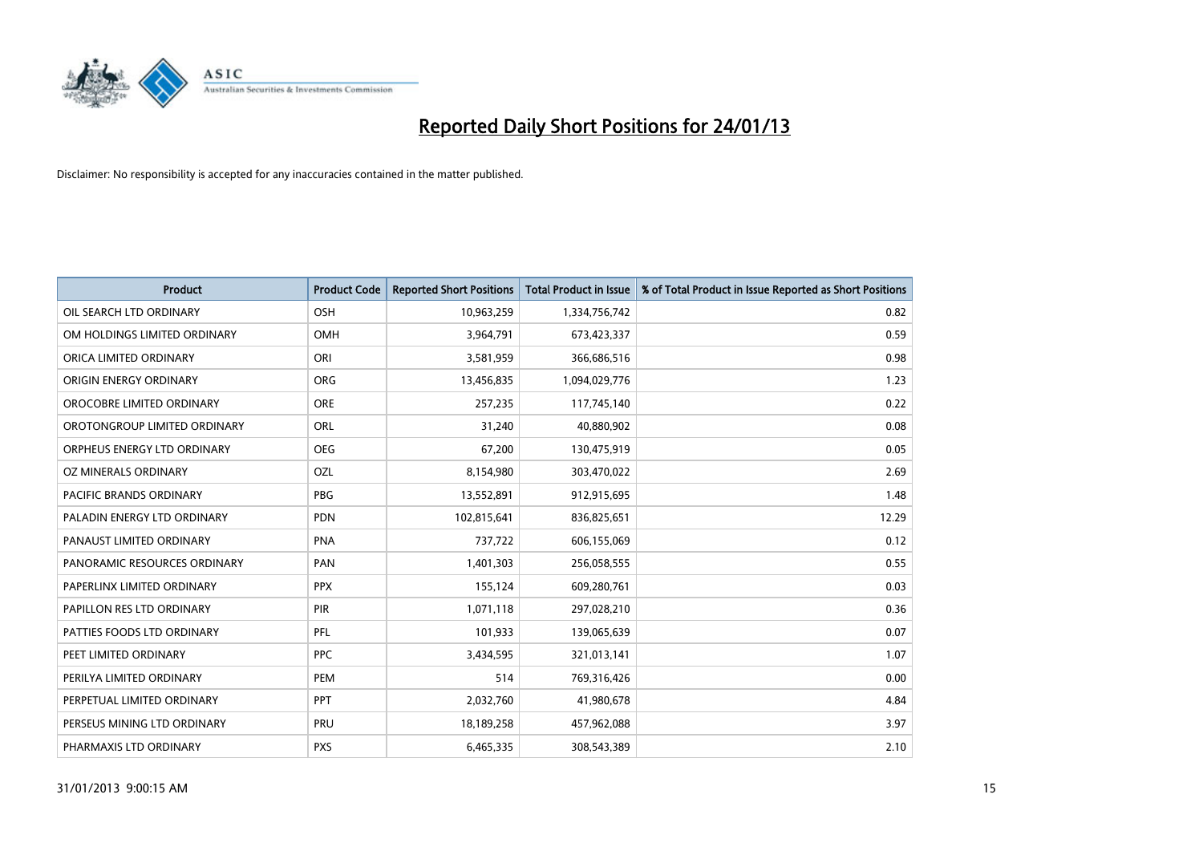

| <b>Product</b>               | <b>Product Code</b> | <b>Reported Short Positions</b> | <b>Total Product in Issue</b> | % of Total Product in Issue Reported as Short Positions |
|------------------------------|---------------------|---------------------------------|-------------------------------|---------------------------------------------------------|
| OIL SEARCH LTD ORDINARY      | OSH                 | 10,963,259                      | 1,334,756,742                 | 0.82                                                    |
| OM HOLDINGS LIMITED ORDINARY | OMH                 | 3,964,791                       | 673,423,337                   | 0.59                                                    |
| ORICA LIMITED ORDINARY       | ORI                 | 3,581,959                       | 366,686,516                   | 0.98                                                    |
| ORIGIN ENERGY ORDINARY       | <b>ORG</b>          | 13,456,835                      | 1,094,029,776                 | 1.23                                                    |
| OROCOBRE LIMITED ORDINARY    | <b>ORE</b>          | 257,235                         | 117,745,140                   | 0.22                                                    |
| OROTONGROUP LIMITED ORDINARY | ORL                 | 31,240                          | 40,880,902                    | 0.08                                                    |
| ORPHEUS ENERGY LTD ORDINARY  | <b>OEG</b>          | 67,200                          | 130,475,919                   | 0.05                                                    |
| OZ MINERALS ORDINARY         | OZL                 | 8,154,980                       | 303,470,022                   | 2.69                                                    |
| PACIFIC BRANDS ORDINARY      | <b>PBG</b>          | 13,552,891                      | 912,915,695                   | 1.48                                                    |
| PALADIN ENERGY LTD ORDINARY  | <b>PDN</b>          | 102,815,641                     | 836,825,651                   | 12.29                                                   |
| PANAUST LIMITED ORDINARY     | <b>PNA</b>          | 737,722                         | 606,155,069                   | 0.12                                                    |
| PANORAMIC RESOURCES ORDINARY | PAN                 | 1,401,303                       | 256,058,555                   | 0.55                                                    |
| PAPERLINX LIMITED ORDINARY   | <b>PPX</b>          | 155,124                         | 609,280,761                   | 0.03                                                    |
| PAPILLON RES LTD ORDINARY    | <b>PIR</b>          | 1,071,118                       | 297,028,210                   | 0.36                                                    |
| PATTIES FOODS LTD ORDINARY   | PFL                 | 101,933                         | 139,065,639                   | 0.07                                                    |
| PEET LIMITED ORDINARY        | <b>PPC</b>          | 3,434,595                       | 321,013,141                   | 1.07                                                    |
| PERILYA LIMITED ORDINARY     | PEM                 | 514                             | 769,316,426                   | 0.00                                                    |
| PERPETUAL LIMITED ORDINARY   | <b>PPT</b>          | 2,032,760                       | 41,980,678                    | 4.84                                                    |
| PERSEUS MINING LTD ORDINARY  | PRU                 | 18,189,258                      | 457,962,088                   | 3.97                                                    |
| PHARMAXIS LTD ORDINARY       | <b>PXS</b>          | 6,465,335                       | 308,543,389                   | 2.10                                                    |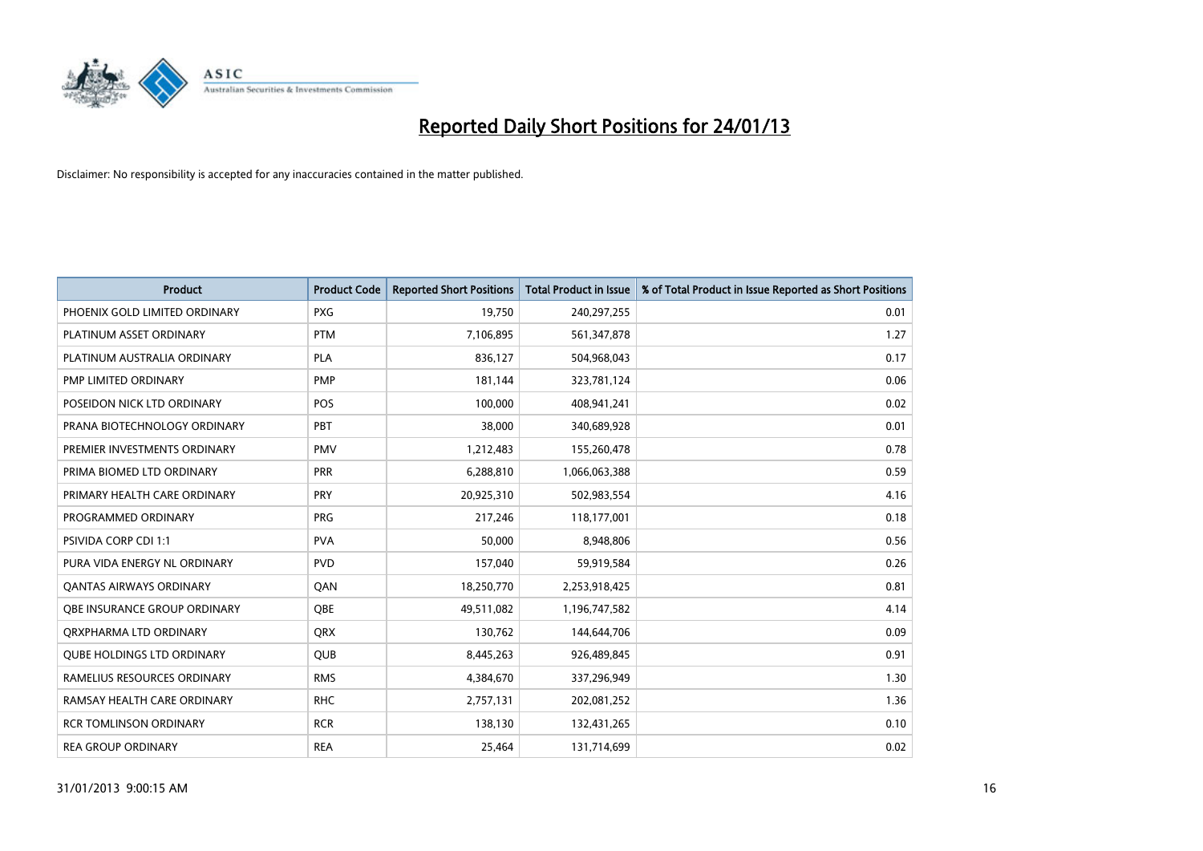

| <b>Product</b>                      | <b>Product Code</b> | <b>Reported Short Positions</b> | <b>Total Product in Issue</b> | % of Total Product in Issue Reported as Short Positions |
|-------------------------------------|---------------------|---------------------------------|-------------------------------|---------------------------------------------------------|
| PHOENIX GOLD LIMITED ORDINARY       | <b>PXG</b>          | 19,750                          | 240,297,255                   | 0.01                                                    |
| PLATINUM ASSET ORDINARY             | <b>PTM</b>          | 7,106,895                       | 561,347,878                   | 1.27                                                    |
| PLATINUM AUSTRALIA ORDINARY         | <b>PLA</b>          | 836.127                         | 504,968,043                   | 0.17                                                    |
| PMP LIMITED ORDINARY                | <b>PMP</b>          | 181,144                         | 323,781,124                   | 0.06                                                    |
| POSEIDON NICK LTD ORDINARY          | <b>POS</b>          | 100,000                         | 408,941,241                   | 0.02                                                    |
| PRANA BIOTECHNOLOGY ORDINARY        | PBT                 | 38,000                          | 340,689,928                   | 0.01                                                    |
| PREMIER INVESTMENTS ORDINARY        | <b>PMV</b>          | 1,212,483                       | 155,260,478                   | 0.78                                                    |
| PRIMA BIOMED LTD ORDINARY           | PRR                 | 6,288,810                       | 1,066,063,388                 | 0.59                                                    |
| PRIMARY HEALTH CARE ORDINARY        | <b>PRY</b>          | 20,925,310                      | 502,983,554                   | 4.16                                                    |
| PROGRAMMED ORDINARY                 | <b>PRG</b>          | 217,246                         | 118,177,001                   | 0.18                                                    |
| PSIVIDA CORP CDI 1:1                | <b>PVA</b>          | 50,000                          | 8,948,806                     | 0.56                                                    |
| PURA VIDA ENERGY NL ORDINARY        | <b>PVD</b>          | 157,040                         | 59,919,584                    | 0.26                                                    |
| <b>QANTAS AIRWAYS ORDINARY</b>      | QAN                 | 18,250,770                      | 2,253,918,425                 | 0.81                                                    |
| <b>OBE INSURANCE GROUP ORDINARY</b> | <b>OBE</b>          | 49,511,082                      | 1,196,747,582                 | 4.14                                                    |
| ORXPHARMA LTD ORDINARY              | <b>ORX</b>          | 130,762                         | 144,644,706                   | 0.09                                                    |
| <b>QUBE HOLDINGS LTD ORDINARY</b>   | <b>QUB</b>          | 8,445,263                       | 926,489,845                   | 0.91                                                    |
| RAMELIUS RESOURCES ORDINARY         | <b>RMS</b>          | 4,384,670                       | 337,296,949                   | 1.30                                                    |
| RAMSAY HEALTH CARE ORDINARY         | <b>RHC</b>          | 2,757,131                       | 202,081,252                   | 1.36                                                    |
| <b>RCR TOMLINSON ORDINARY</b>       | <b>RCR</b>          | 138,130                         | 132,431,265                   | 0.10                                                    |
| <b>REA GROUP ORDINARY</b>           | <b>REA</b>          | 25,464                          | 131,714,699                   | 0.02                                                    |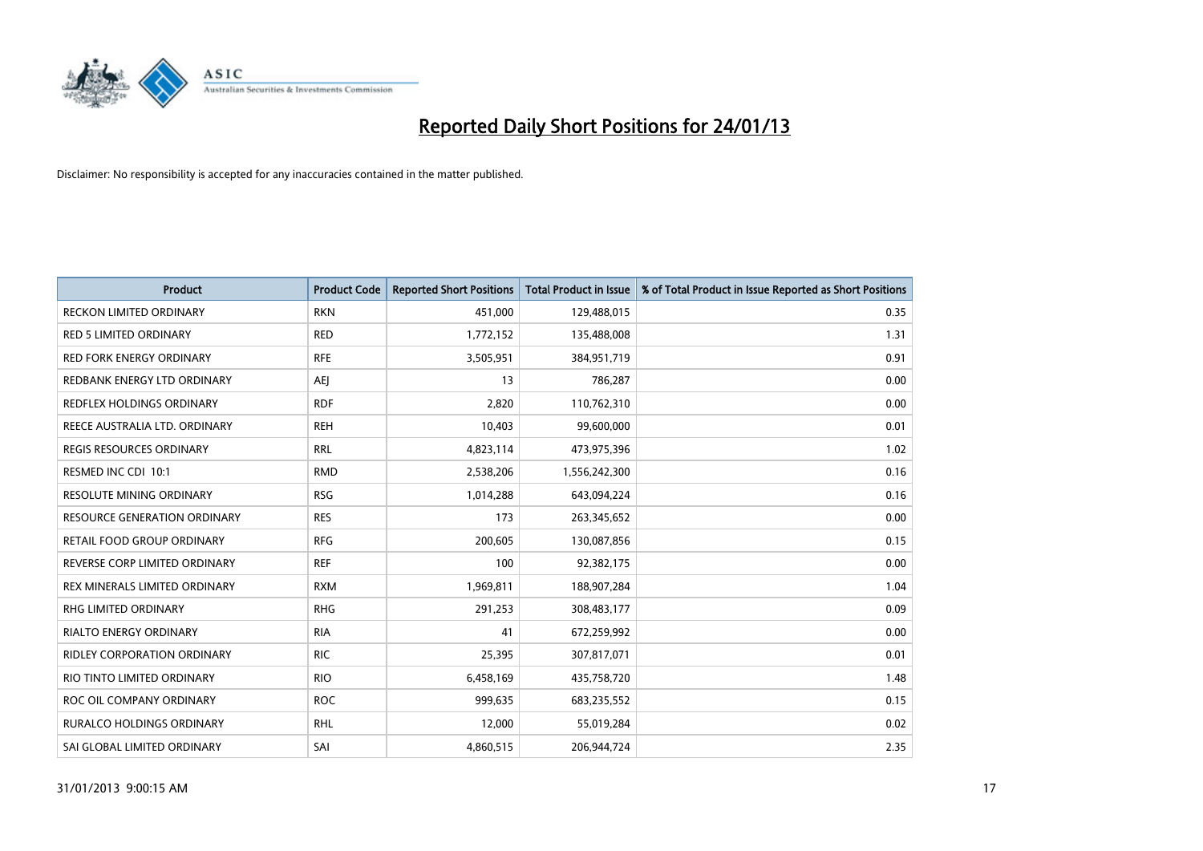

| <b>Product</b>                      | <b>Product Code</b> | <b>Reported Short Positions</b> | <b>Total Product in Issue</b> | % of Total Product in Issue Reported as Short Positions |
|-------------------------------------|---------------------|---------------------------------|-------------------------------|---------------------------------------------------------|
| <b>RECKON LIMITED ORDINARY</b>      | <b>RKN</b>          | 451,000                         | 129,488,015                   | 0.35                                                    |
| <b>RED 5 LIMITED ORDINARY</b>       | <b>RED</b>          | 1,772,152                       | 135,488,008                   | 1.31                                                    |
| <b>RED FORK ENERGY ORDINARY</b>     | <b>RFE</b>          | 3,505,951                       | 384,951,719                   | 0.91                                                    |
| REDBANK ENERGY LTD ORDINARY         | AEJ                 | 13                              | 786,287                       | 0.00                                                    |
| REDFLEX HOLDINGS ORDINARY           | <b>RDF</b>          | 2,820                           | 110,762,310                   | 0.00                                                    |
| REECE AUSTRALIA LTD. ORDINARY       | <b>REH</b>          | 10,403                          | 99,600,000                    | 0.01                                                    |
| <b>REGIS RESOURCES ORDINARY</b>     | <b>RRL</b>          | 4,823,114                       | 473,975,396                   | 1.02                                                    |
| RESMED INC CDI 10:1                 | <b>RMD</b>          | 2,538,206                       | 1,556,242,300                 | 0.16                                                    |
| <b>RESOLUTE MINING ORDINARY</b>     | <b>RSG</b>          | 1,014,288                       | 643,094,224                   | 0.16                                                    |
| <b>RESOURCE GENERATION ORDINARY</b> | <b>RES</b>          | 173                             | 263,345,652                   | 0.00                                                    |
| RETAIL FOOD GROUP ORDINARY          | <b>RFG</b>          | 200,605                         | 130,087,856                   | 0.15                                                    |
| REVERSE CORP LIMITED ORDINARY       | <b>REF</b>          | 100                             | 92,382,175                    | 0.00                                                    |
| REX MINERALS LIMITED ORDINARY       | <b>RXM</b>          | 1,969,811                       | 188,907,284                   | 1.04                                                    |
| <b>RHG LIMITED ORDINARY</b>         | <b>RHG</b>          | 291,253                         | 308,483,177                   | 0.09                                                    |
| <b>RIALTO ENERGY ORDINARY</b>       | <b>RIA</b>          | 41                              | 672,259,992                   | 0.00                                                    |
| RIDLEY CORPORATION ORDINARY         | <b>RIC</b>          | 25,395                          | 307,817,071                   | 0.01                                                    |
| RIO TINTO LIMITED ORDINARY          | <b>RIO</b>          | 6,458,169                       | 435,758,720                   | 1.48                                                    |
| ROC OIL COMPANY ORDINARY            | <b>ROC</b>          | 999,635                         | 683,235,552                   | 0.15                                                    |
| <b>RURALCO HOLDINGS ORDINARY</b>    | <b>RHL</b>          | 12,000                          | 55,019,284                    | 0.02                                                    |
| SAI GLOBAL LIMITED ORDINARY         | SAI                 | 4,860,515                       | 206,944,724                   | 2.35                                                    |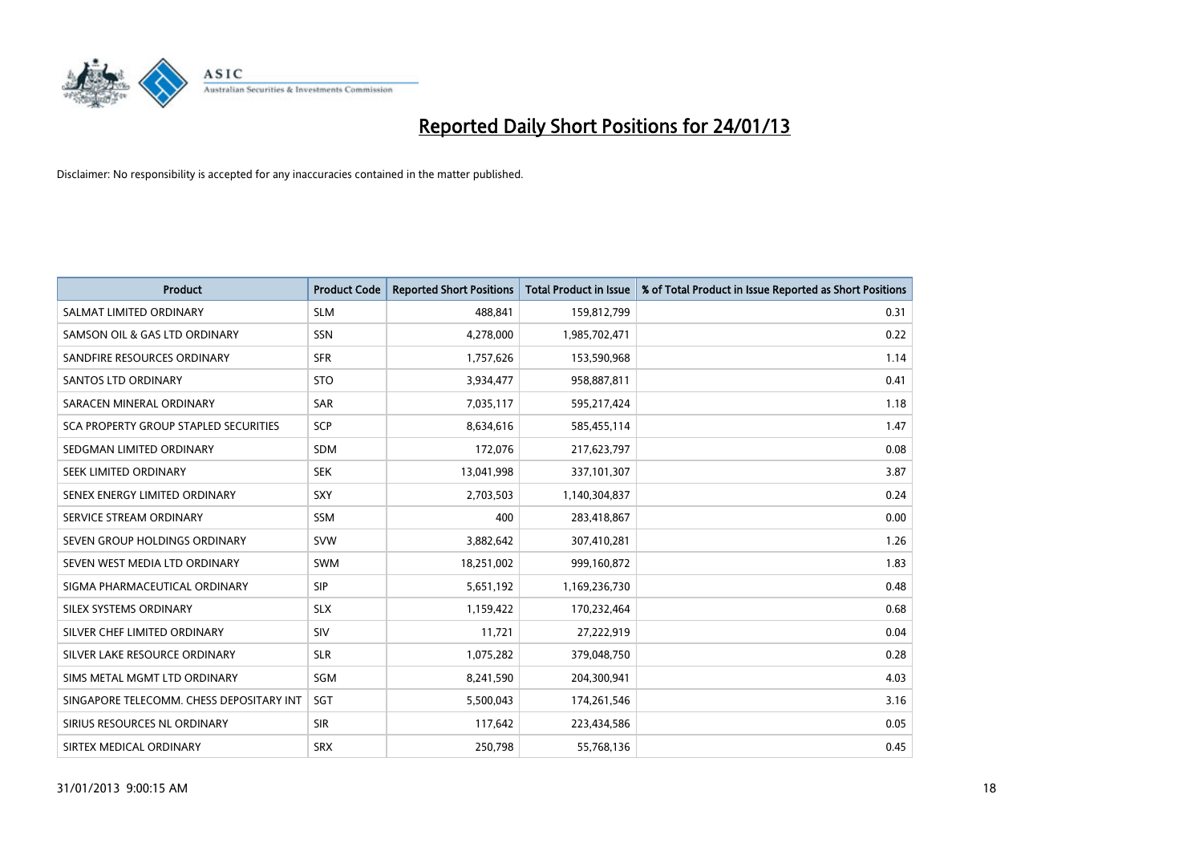

| <b>Product</b>                           | <b>Product Code</b> | <b>Reported Short Positions</b> | <b>Total Product in Issue</b> | % of Total Product in Issue Reported as Short Positions |
|------------------------------------------|---------------------|---------------------------------|-------------------------------|---------------------------------------------------------|
| SALMAT LIMITED ORDINARY                  | <b>SLM</b>          | 488,841                         | 159,812,799                   | 0.31                                                    |
| SAMSON OIL & GAS LTD ORDINARY            | <b>SSN</b>          | 4,278,000                       | 1,985,702,471                 | 0.22                                                    |
| SANDFIRE RESOURCES ORDINARY              | <b>SFR</b>          | 1,757,626                       | 153,590,968                   | 1.14                                                    |
| <b>SANTOS LTD ORDINARY</b>               | <b>STO</b>          | 3,934,477                       | 958,887,811                   | 0.41                                                    |
| SARACEN MINERAL ORDINARY                 | <b>SAR</b>          | 7,035,117                       | 595,217,424                   | 1.18                                                    |
| SCA PROPERTY GROUP STAPLED SECURITIES    | <b>SCP</b>          | 8,634,616                       | 585,455,114                   | 1.47                                                    |
| SEDGMAN LIMITED ORDINARY                 | <b>SDM</b>          | 172,076                         | 217,623,797                   | 0.08                                                    |
| SEEK LIMITED ORDINARY                    | <b>SEK</b>          | 13,041,998                      | 337,101,307                   | 3.87                                                    |
| SENEX ENERGY LIMITED ORDINARY            | <b>SXY</b>          | 2,703,503                       | 1,140,304,837                 | 0.24                                                    |
| SERVICE STREAM ORDINARY                  | <b>SSM</b>          | 400                             | 283,418,867                   | 0.00                                                    |
| SEVEN GROUP HOLDINGS ORDINARY            | <b>SVW</b>          | 3,882,642                       | 307,410,281                   | 1.26                                                    |
| SEVEN WEST MEDIA LTD ORDINARY            | <b>SWM</b>          | 18,251,002                      | 999,160,872                   | 1.83                                                    |
| SIGMA PHARMACEUTICAL ORDINARY            | <b>SIP</b>          | 5,651,192                       | 1,169,236,730                 | 0.48                                                    |
| SILEX SYSTEMS ORDINARY                   | <b>SLX</b>          | 1,159,422                       | 170,232,464                   | 0.68                                                    |
| SILVER CHEF LIMITED ORDINARY             | SIV                 | 11,721                          | 27,222,919                    | 0.04                                                    |
| SILVER LAKE RESOURCE ORDINARY            | <b>SLR</b>          | 1,075,282                       | 379,048,750                   | 0.28                                                    |
| SIMS METAL MGMT LTD ORDINARY             | SGM                 | 8,241,590                       | 204,300,941                   | 4.03                                                    |
| SINGAPORE TELECOMM. CHESS DEPOSITARY INT | SGT                 | 5,500,043                       | 174,261,546                   | 3.16                                                    |
| SIRIUS RESOURCES NL ORDINARY             | <b>SIR</b>          | 117,642                         | 223,434,586                   | 0.05                                                    |
| SIRTEX MEDICAL ORDINARY                  | <b>SRX</b>          | 250,798                         | 55,768,136                    | 0.45                                                    |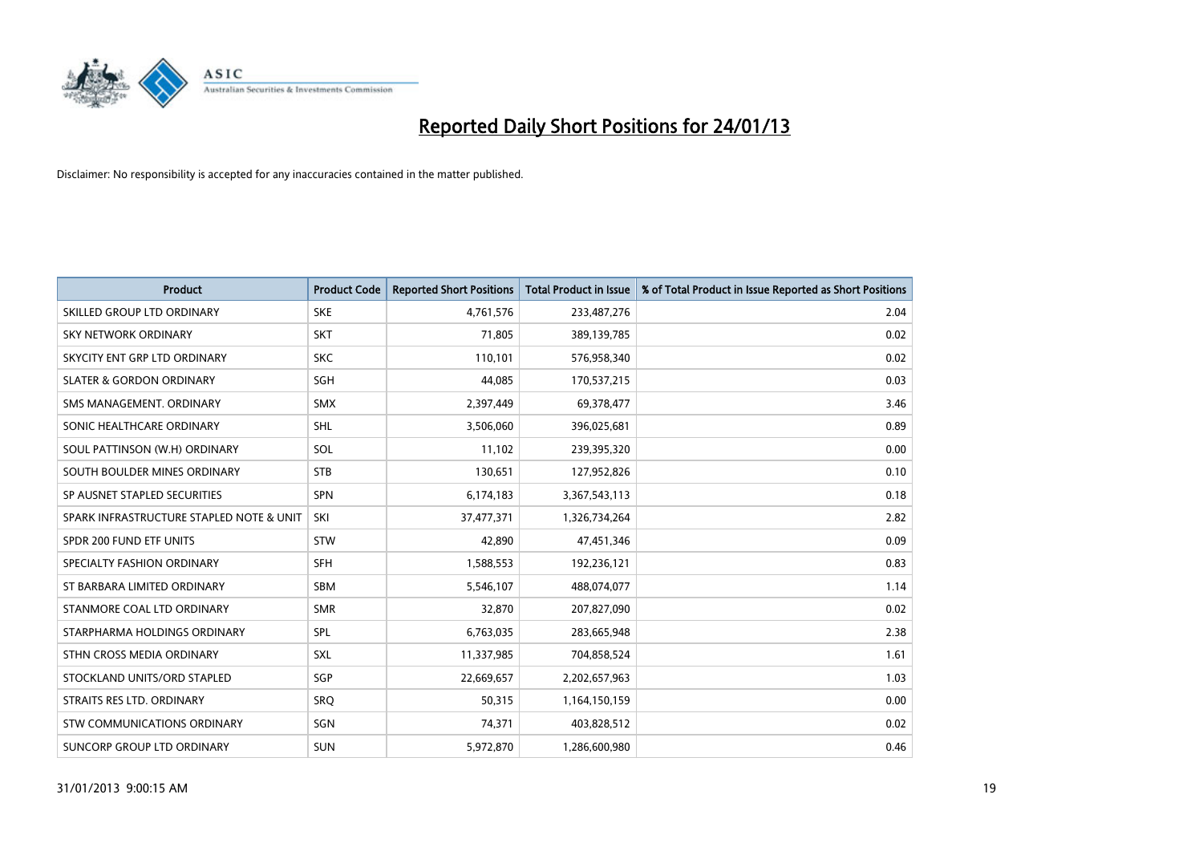

| <b>Product</b>                           | <b>Product Code</b> | <b>Reported Short Positions</b> | <b>Total Product in Issue</b> | % of Total Product in Issue Reported as Short Positions |
|------------------------------------------|---------------------|---------------------------------|-------------------------------|---------------------------------------------------------|
| SKILLED GROUP LTD ORDINARY               | <b>SKE</b>          | 4,761,576                       | 233,487,276                   | 2.04                                                    |
| SKY NETWORK ORDINARY                     | <b>SKT</b>          | 71,805                          | 389,139,785                   | 0.02                                                    |
| SKYCITY ENT GRP LTD ORDINARY             | <b>SKC</b>          | 110,101                         | 576,958,340                   | 0.02                                                    |
| <b>SLATER &amp; GORDON ORDINARY</b>      | SGH                 | 44,085                          | 170,537,215                   | 0.03                                                    |
| SMS MANAGEMENT, ORDINARY                 | <b>SMX</b>          | 2,397,449                       | 69,378,477                    | 3.46                                                    |
| SONIC HEALTHCARE ORDINARY                | <b>SHL</b>          | 3,506,060                       | 396,025,681                   | 0.89                                                    |
| SOUL PATTINSON (W.H) ORDINARY            | SOL                 | 11,102                          | 239,395,320                   | 0.00                                                    |
| SOUTH BOULDER MINES ORDINARY             | <b>STB</b>          | 130,651                         | 127,952,826                   | 0.10                                                    |
| SP AUSNET STAPLED SECURITIES             | <b>SPN</b>          | 6,174,183                       | 3,367,543,113                 | 0.18                                                    |
| SPARK INFRASTRUCTURE STAPLED NOTE & UNIT | SKI                 | 37,477,371                      | 1,326,734,264                 | 2.82                                                    |
| SPDR 200 FUND ETF UNITS                  | <b>STW</b>          | 42,890                          | 47,451,346                    | 0.09                                                    |
| SPECIALTY FASHION ORDINARY               | <b>SFH</b>          | 1,588,553                       | 192,236,121                   | 0.83                                                    |
| ST BARBARA LIMITED ORDINARY              | <b>SBM</b>          | 5,546,107                       | 488,074,077                   | 1.14                                                    |
| STANMORE COAL LTD ORDINARY               | <b>SMR</b>          | 32,870                          | 207,827,090                   | 0.02                                                    |
| STARPHARMA HOLDINGS ORDINARY             | SPL                 | 6,763,035                       | 283,665,948                   | 2.38                                                    |
| STHN CROSS MEDIA ORDINARY                | SXL                 | 11,337,985                      | 704,858,524                   | 1.61                                                    |
| STOCKLAND UNITS/ORD STAPLED              | SGP                 | 22,669,657                      | 2,202,657,963                 | 1.03                                                    |
| STRAITS RES LTD. ORDINARY                | SRQ                 | 50,315                          | 1,164,150,159                 | 0.00                                                    |
| STW COMMUNICATIONS ORDINARY              | SGN                 | 74,371                          | 403,828,512                   | 0.02                                                    |
| SUNCORP GROUP LTD ORDINARY               | <b>SUN</b>          | 5,972,870                       | 1,286,600,980                 | 0.46                                                    |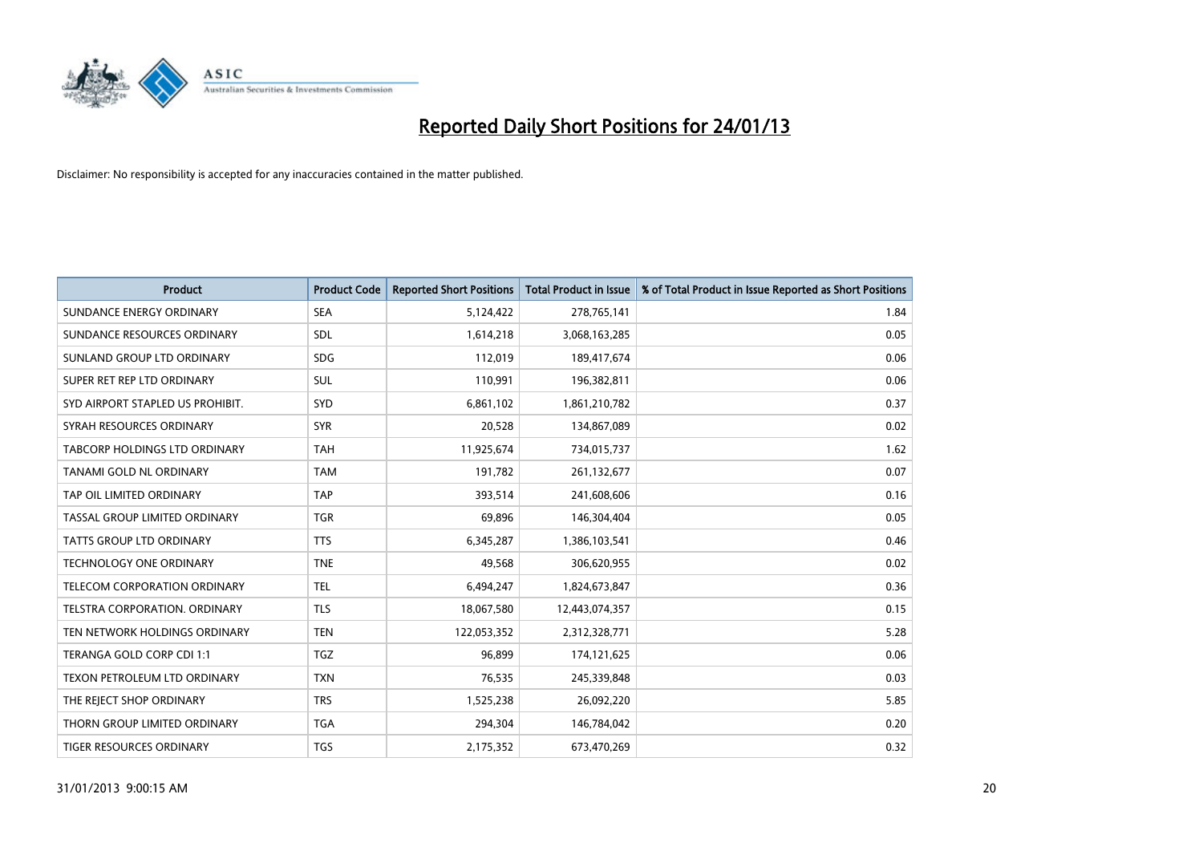

| <b>Product</b>                   | <b>Product Code</b> | <b>Reported Short Positions</b> | <b>Total Product in Issue</b> | % of Total Product in Issue Reported as Short Positions |
|----------------------------------|---------------------|---------------------------------|-------------------------------|---------------------------------------------------------|
| SUNDANCE ENERGY ORDINARY         | <b>SEA</b>          | 5,124,422                       | 278,765,141                   | 1.84                                                    |
| SUNDANCE RESOURCES ORDINARY      | <b>SDL</b>          | 1,614,218                       | 3,068,163,285                 | 0.05                                                    |
| SUNLAND GROUP LTD ORDINARY       | <b>SDG</b>          | 112,019                         | 189,417,674                   | 0.06                                                    |
| SUPER RET REP LTD ORDINARY       | <b>SUL</b>          | 110,991                         | 196,382,811                   | 0.06                                                    |
| SYD AIRPORT STAPLED US PROHIBIT. | <b>SYD</b>          | 6,861,102                       | 1,861,210,782                 | 0.37                                                    |
| SYRAH RESOURCES ORDINARY         | <b>SYR</b>          | 20,528                          | 134,867,089                   | 0.02                                                    |
| TABCORP HOLDINGS LTD ORDINARY    | <b>TAH</b>          | 11,925,674                      | 734,015,737                   | 1.62                                                    |
| TANAMI GOLD NL ORDINARY          | <b>TAM</b>          | 191,782                         | 261,132,677                   | 0.07                                                    |
| TAP OIL LIMITED ORDINARY         | <b>TAP</b>          | 393,514                         | 241,608,606                   | 0.16                                                    |
| TASSAL GROUP LIMITED ORDINARY    | <b>TGR</b>          | 69,896                          | 146,304,404                   | 0.05                                                    |
| TATTS GROUP LTD ORDINARY         | <b>TTS</b>          | 6,345,287                       | 1,386,103,541                 | 0.46                                                    |
| <b>TECHNOLOGY ONE ORDINARY</b>   | <b>TNE</b>          | 49,568                          | 306,620,955                   | 0.02                                                    |
| TELECOM CORPORATION ORDINARY     | <b>TEL</b>          | 6,494,247                       | 1,824,673,847                 | 0.36                                                    |
| TELSTRA CORPORATION. ORDINARY    | <b>TLS</b>          | 18,067,580                      | 12,443,074,357                | 0.15                                                    |
| TEN NETWORK HOLDINGS ORDINARY    | <b>TEN</b>          | 122,053,352                     | 2,312,328,771                 | 5.28                                                    |
| TERANGA GOLD CORP CDI 1:1        | <b>TGZ</b>          | 96,899                          | 174,121,625                   | 0.06                                                    |
| TEXON PETROLEUM LTD ORDINARY     | <b>TXN</b>          | 76,535                          | 245,339,848                   | 0.03                                                    |
| THE REJECT SHOP ORDINARY         | <b>TRS</b>          | 1,525,238                       | 26,092,220                    | 5.85                                                    |
| THORN GROUP LIMITED ORDINARY     | <b>TGA</b>          | 294,304                         | 146,784,042                   | 0.20                                                    |
| TIGER RESOURCES ORDINARY         | <b>TGS</b>          | 2,175,352                       | 673,470,269                   | 0.32                                                    |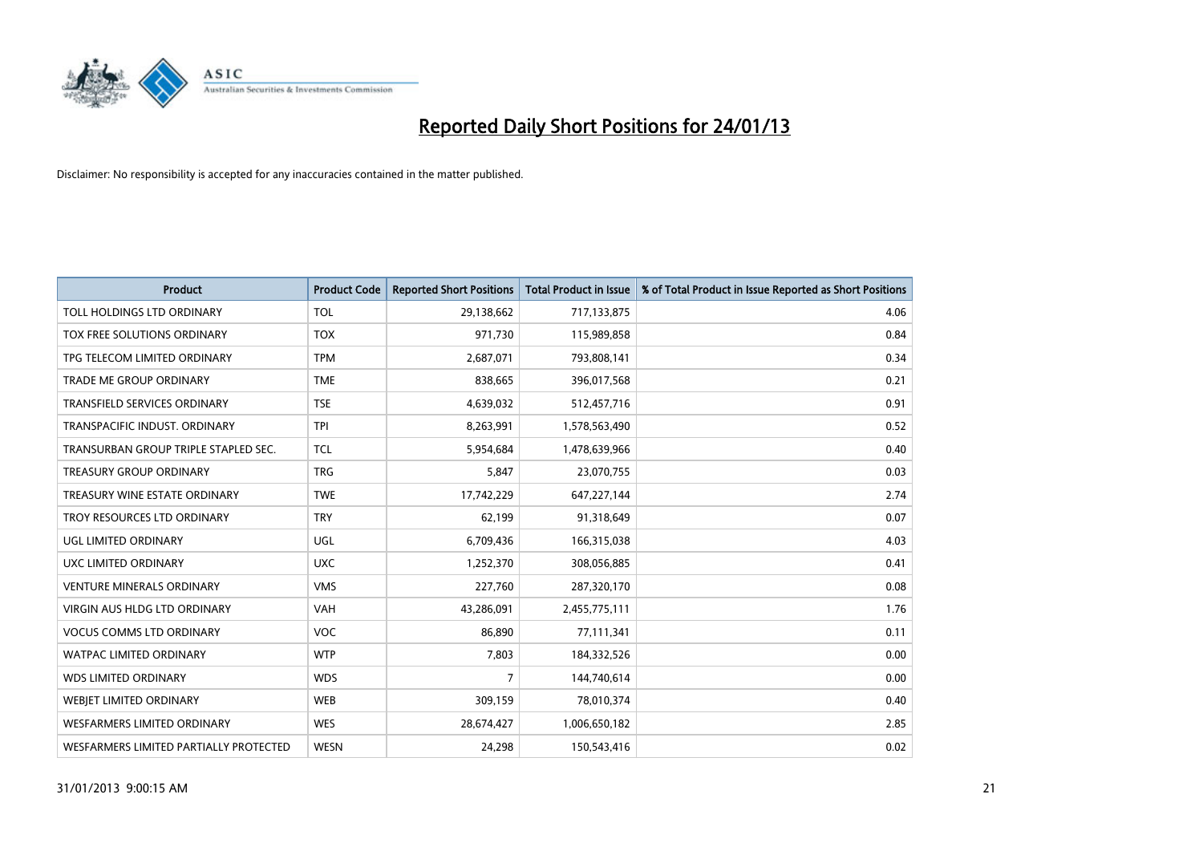

| <b>Product</b>                         | <b>Product Code</b> | <b>Reported Short Positions</b> | <b>Total Product in Issue</b> | % of Total Product in Issue Reported as Short Positions |
|----------------------------------------|---------------------|---------------------------------|-------------------------------|---------------------------------------------------------|
| TOLL HOLDINGS LTD ORDINARY             | <b>TOL</b>          | 29,138,662                      | 717,133,875                   | 4.06                                                    |
| TOX FREE SOLUTIONS ORDINARY            | <b>TOX</b>          | 971,730                         | 115,989,858                   | 0.84                                                    |
| TPG TELECOM LIMITED ORDINARY           | <b>TPM</b>          | 2,687,071                       | 793,808,141                   | 0.34                                                    |
| TRADE ME GROUP ORDINARY                | <b>TME</b>          | 838,665                         | 396,017,568                   | 0.21                                                    |
| <b>TRANSFIELD SERVICES ORDINARY</b>    | <b>TSE</b>          | 4,639,032                       | 512,457,716                   | 0.91                                                    |
| TRANSPACIFIC INDUST, ORDINARY          | <b>TPI</b>          | 8,263,991                       | 1,578,563,490                 | 0.52                                                    |
| TRANSURBAN GROUP TRIPLE STAPLED SEC.   | <b>TCL</b>          | 5,954,684                       | 1,478,639,966                 | 0.40                                                    |
| TREASURY GROUP ORDINARY                | <b>TRG</b>          | 5,847                           | 23,070,755                    | 0.03                                                    |
| TREASURY WINE ESTATE ORDINARY          | <b>TWE</b>          | 17,742,229                      | 647,227,144                   | 2.74                                                    |
| TROY RESOURCES LTD ORDINARY            | <b>TRY</b>          | 62,199                          | 91,318,649                    | 0.07                                                    |
| UGL LIMITED ORDINARY                   | UGL                 | 6,709,436                       | 166,315,038                   | 4.03                                                    |
| UXC LIMITED ORDINARY                   | <b>UXC</b>          | 1,252,370                       | 308,056,885                   | 0.41                                                    |
| <b>VENTURE MINERALS ORDINARY</b>       | <b>VMS</b>          | 227,760                         | 287,320,170                   | 0.08                                                    |
| <b>VIRGIN AUS HLDG LTD ORDINARY</b>    | VAH                 | 43,286,091                      | 2,455,775,111                 | 1.76                                                    |
| <b>VOCUS COMMS LTD ORDINARY</b>        | <b>VOC</b>          | 86,890                          | 77,111,341                    | 0.11                                                    |
| <b>WATPAC LIMITED ORDINARY</b>         | <b>WTP</b>          | 7,803                           | 184,332,526                   | 0.00                                                    |
| <b>WDS LIMITED ORDINARY</b>            | <b>WDS</b>          | $\overline{7}$                  | 144,740,614                   | 0.00                                                    |
| WEBJET LIMITED ORDINARY                | <b>WEB</b>          | 309,159                         | 78,010,374                    | 0.40                                                    |
| <b>WESFARMERS LIMITED ORDINARY</b>     | <b>WES</b>          | 28,674,427                      | 1,006,650,182                 | 2.85                                                    |
| WESFARMERS LIMITED PARTIALLY PROTECTED | <b>WESN</b>         | 24,298                          | 150,543,416                   | 0.02                                                    |